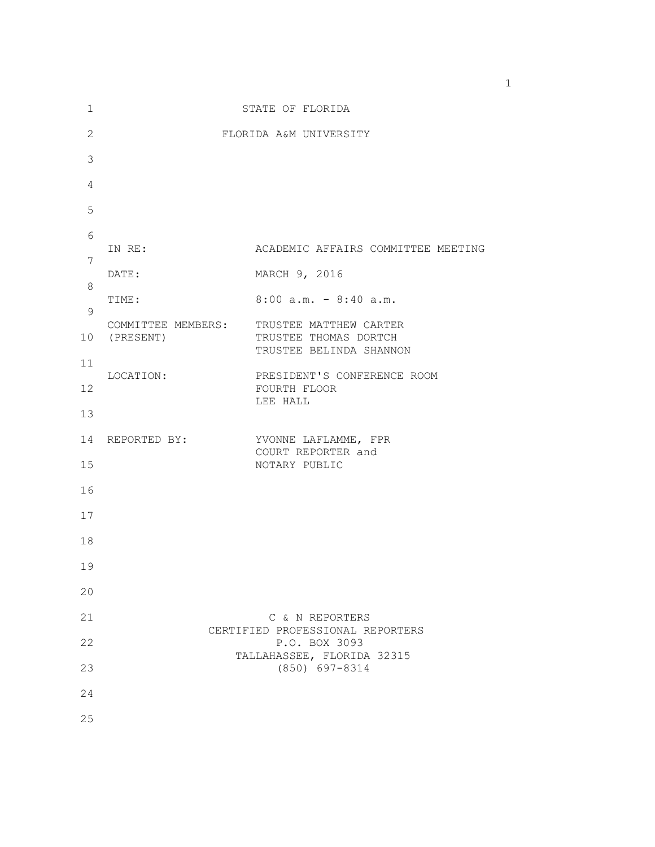| 1            |                                    | STATE OF FLORIDA                                                           |
|--------------|------------------------------------|----------------------------------------------------------------------------|
| $\mathbf{2}$ |                                    | FLORIDA A&M UNIVERSITY                                                     |
| 3            |                                    |                                                                            |
| 4            |                                    |                                                                            |
| 5            |                                    |                                                                            |
| 6            | IN RE:                             | ACADEMIC AFFAIRS COMMITTEE MEETING                                         |
| 7            | DATE:                              | MARCH 9, 2016                                                              |
| 8            | TIME:                              | $8:00$ a.m. - $8:40$ a.m.                                                  |
| 9            |                                    |                                                                            |
|              | COMMITTEE MEMBERS:<br>10 (PRESENT) | TRUSTEE MATTHEW CARTER<br>TRUSTEE THOMAS DORTCH<br>TRUSTEE BELINDA SHANNON |
| 11           | LOCATION:                          | PRESIDENT'S CONFERENCE ROOM                                                |
| 12           |                                    | FOURTH FLOOR<br>LEE HALL                                                   |
| 13           |                                    |                                                                            |
| 14           | REPORTED BY:                       | YVONNE LAFLAMME, FPR<br>COURT REPORTER and                                 |
| 15           |                                    | NOTARY PUBLIC                                                              |
| 16           |                                    |                                                                            |
| 17           |                                    |                                                                            |
| 18           |                                    |                                                                            |
| 19           |                                    |                                                                            |
| 20           |                                    |                                                                            |
| 21           |                                    | C & N REPORTERS<br>CERTIFIED PROFESSIONAL REPORTERS                        |
| 22           |                                    | P.O. BOX 3093<br>TALLAHASSEE, FLORIDA 32315                                |
| 23           |                                    | $(850)$ 697-8314                                                           |
| 24           |                                    |                                                                            |
| 25           |                                    |                                                                            |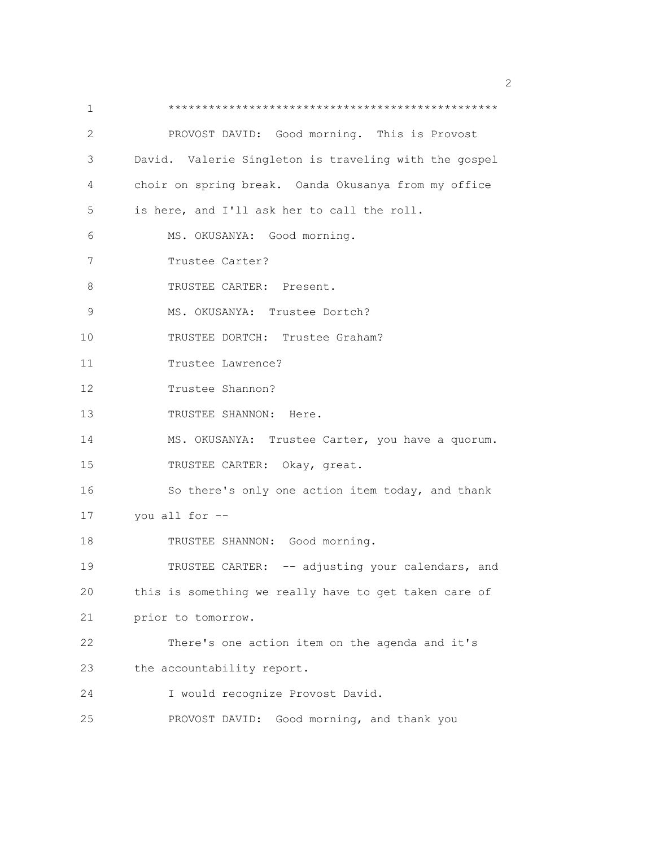1 \*\*\*\*\*\*\*\*\*\*\*\*\*\*\*\*\*\*\*\*\*\*\*\*\*\*\*\*\*\*\*\*\*\*\*\*\*\*\*\*\*\*\*\*\*\*\*\*\* 2 PROVOST DAVID: Good morning. This is Provost 3 David. Valerie Singleton is traveling with the gospel 4 choir on spring break. Oanda Okusanya from my office 5 is here, and I'll ask her to call the roll. 6 MS. OKUSANYA: Good morning. 7 Trustee Carter? 8 TRUSTEE CARTER: Present. 9 MS. OKUSANYA: Trustee Dortch? 10 TRUSTEE DORTCH: Trustee Graham? 11 Trustee Lawrence? 12 Trustee Shannon? 13 TRUSTEE SHANNON: Here. 14 MS. OKUSANYA: Trustee Carter, you have a quorum. 15 TRUSTEE CARTER: Okay, great. 16 So there's only one action item today, and thank 17 you all for -- 18 TRUSTEE SHANNON: Good morning. 19 TRUSTEE CARTER: -- adjusting your calendars, and 20 this is something we really have to get taken care of 21 prior to tomorrow. 22 There's one action item on the agenda and it's 23 the accountability report. 24 I would recognize Provost David. 25 PROVOST DAVID: Good morning, and thank you

 $\sim$  2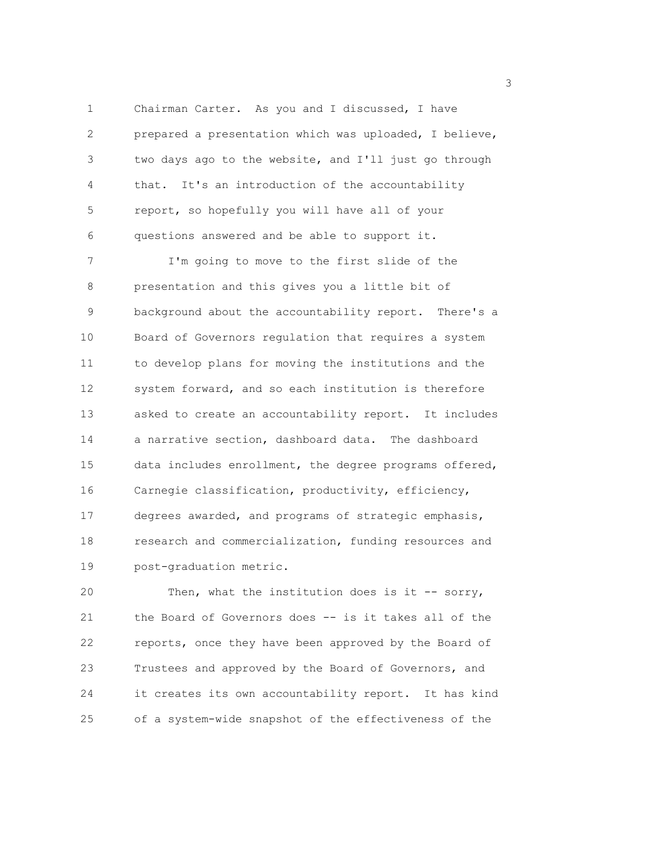1 Chairman Carter. As you and I discussed, I have 2 prepared a presentation which was uploaded, I believe, 3 two days ago to the website, and I'll just go through 4 that. It's an introduction of the accountability 5 report, so hopefully you will have all of your 6 questions answered and be able to support it.

7 I'm going to move to the first slide of the 8 presentation and this gives you a little bit of 9 background about the accountability report. There's a 10 Board of Governors regulation that requires a system 11 to develop plans for moving the institutions and the 12 system forward, and so each institution is therefore 13 asked to create an accountability report. It includes 14 a narrative section, dashboard data. The dashboard 15 data includes enrollment, the degree programs offered, 16 Carnegie classification, productivity, efficiency, 17 degrees awarded, and programs of strategic emphasis, 18 research and commercialization, funding resources and 19 post-graduation metric.

20 Then, what the institution does is it -- sorry, 21 the Board of Governors does -- is it takes all of the 22 reports, once they have been approved by the Board of 23 Trustees and approved by the Board of Governors, and 24 it creates its own accountability report. It has kind 25 of a system-wide snapshot of the effectiveness of the

 $\sim$  3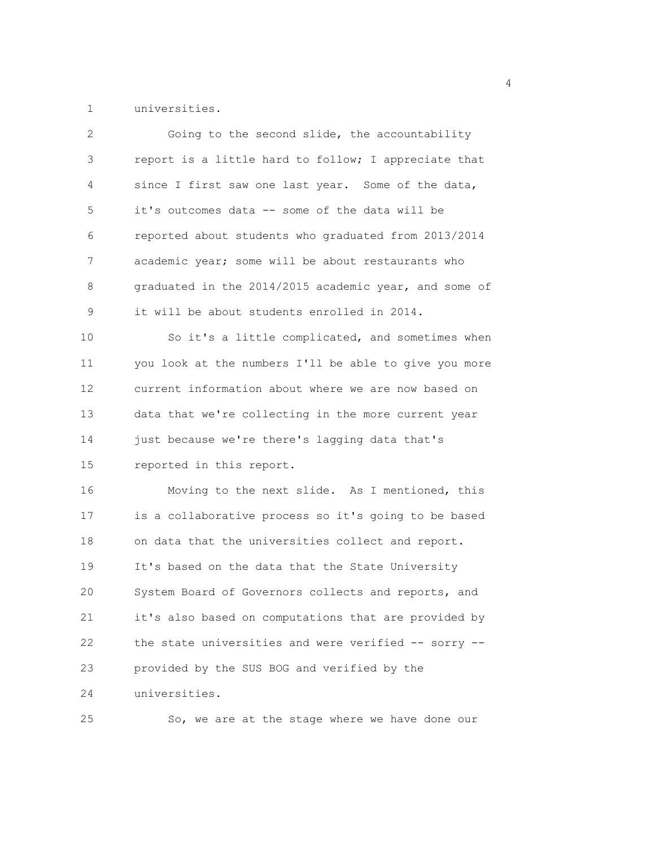1 universities.

| $\overline{2}$ | Going to the second slide, the accountability         |
|----------------|-------------------------------------------------------|
| 3              | report is a little hard to follow; I appreciate that  |
| 4              | since I first saw one last year. Some of the data,    |
| 5              | it's outcomes data -- some of the data will be        |
| 6              | reported about students who graduated from 2013/2014  |
| 7              | academic year; some will be about restaurants who     |
| 8              | graduated in the 2014/2015 academic year, and some of |
| 9              | it will be about students enrolled in 2014.           |
| 10             | So it's a little complicated, and sometimes when      |
| 11             | you look at the numbers I'll be able to give you more |
| 12             | current information about where we are now based on   |
| 13             | data that we're collecting in the more current year   |
| 14             | just because we're there's lagging data that's        |
| 15             | reported in this report.                              |
| 16             | Moving to the next slide. As I mentioned, this        |
| 17             | is a collaborative process so it's going to be based  |
| 18             | on data that the universities collect and report.     |
| 19             | It's based on the data that the State University      |
| 20             | System Board of Governors collects and reports, and   |
| 21             | it's also based on computations that are provided by  |
| 22             | the state universities and were verified -- sorry --  |
| 23             | provided by the SUS BOG and verified by the           |
| 24             | universities.                                         |
| 25             | So, we are at the stage where we have done our        |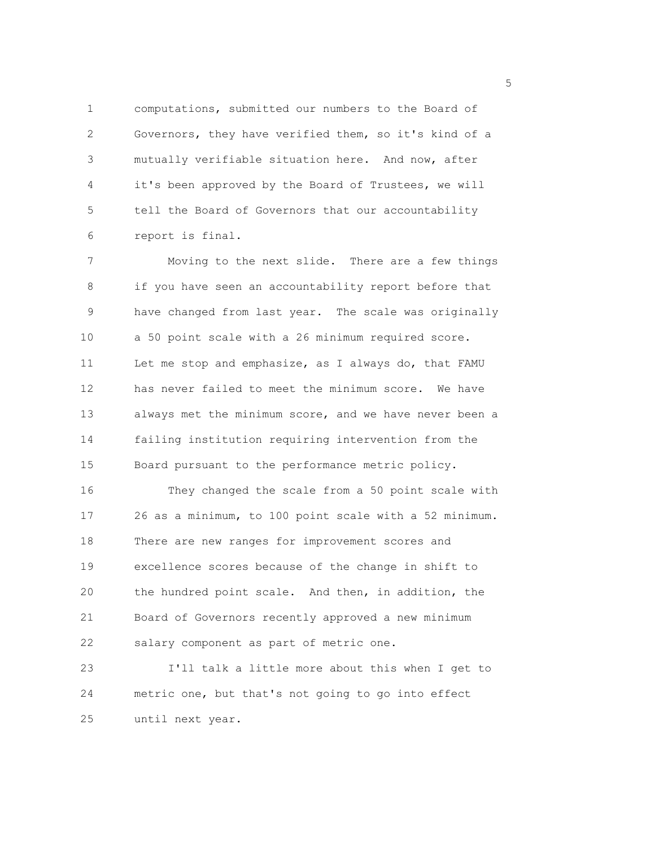1 computations, submitted our numbers to the Board of 2 Governors, they have verified them, so it's kind of a 3 mutually verifiable situation here. And now, after 4 it's been approved by the Board of Trustees, we will 5 tell the Board of Governors that our accountability 6 report is final.

7 Moving to the next slide. There are a few things 8 if you have seen an accountability report before that 9 have changed from last year. The scale was originally 10 a 50 point scale with a 26 minimum required score. 11 Let me stop and emphasize, as I always do, that FAMU 12 has never failed to meet the minimum score. We have 13 always met the minimum score, and we have never been a 14 failing institution requiring intervention from the 15 Board pursuant to the performance metric policy.

16 They changed the scale from a 50 point scale with 17 26 as a minimum, to 100 point scale with a 52 minimum. 18 There are new ranges for improvement scores and 19 excellence scores because of the change in shift to 20 the hundred point scale. And then, in addition, the 21 Board of Governors recently approved a new minimum 22 salary component as part of metric one.

23 I'll talk a little more about this when I get to 24 metric one, but that's not going to go into effect 25 until next year.

<u>5</u> September 2005 and 2006 and 2007 and 2007 and 2008 and 2007 and 2008 and 2008 and 2008 and 2008 and 2008 and 2008 and 2008 and 2008 and 2008 and 2008 and 2008 and 2008 and 2008 and 2008 and 2008 and 2008 and 2008 and 2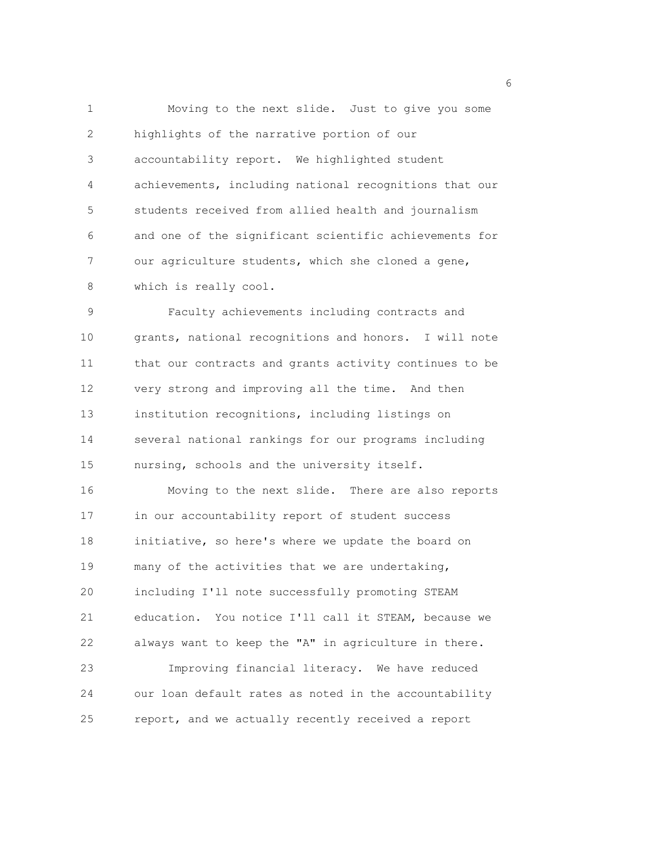1 Moving to the next slide. Just to give you some 2 highlights of the narrative portion of our 3 accountability report. We highlighted student 4 achievements, including national recognitions that our 5 students received from allied health and journalism 6 and one of the significant scientific achievements for 7 our agriculture students, which she cloned a gene, 8 which is really cool.

9 Faculty achievements including contracts and 10 grants, national recognitions and honors. I will note 11 that our contracts and grants activity continues to be 12 very strong and improving all the time. And then 13 institution recognitions, including listings on 14 several national rankings for our programs including 15 nursing, schools and the university itself.

16 Moving to the next slide. There are also reports 17 in our accountability report of student success 18 initiative, so here's where we update the board on 19 many of the activities that we are undertaking, 20 including I'll note successfully promoting STEAM 21 education. You notice I'll call it STEAM, because we 22 always want to keep the "A" in agriculture in there. 23 Improving financial literacy. We have reduced 24 our loan default rates as noted in the accountability 25 report, and we actually recently received a report

<u>6</u> and the contract of the contract of the contract of the contract of the contract of the contract of the contract of the contract of the contract of the contract of the contract of the contract of the contract of the co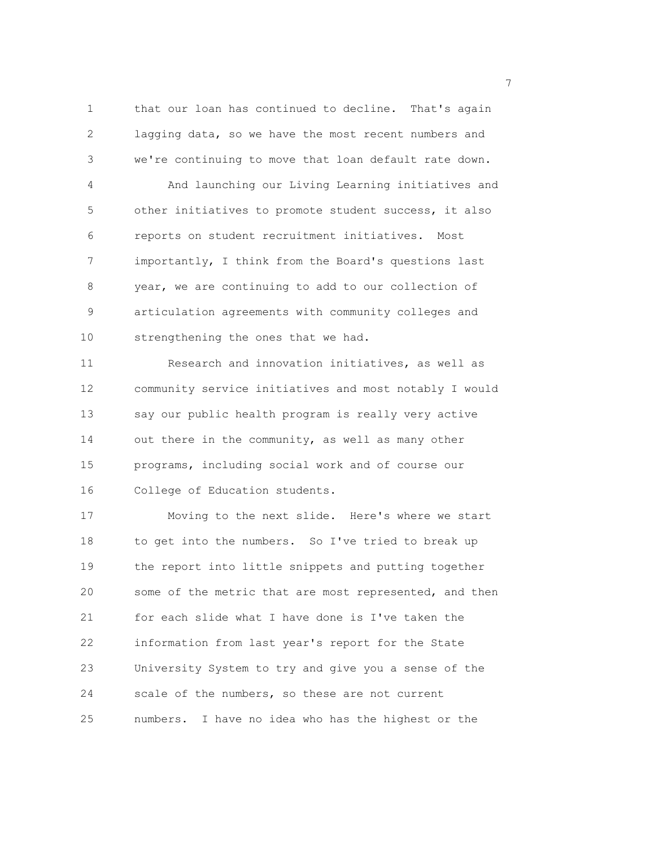1 that our loan has continued to decline. That's again 2 lagging data, so we have the most recent numbers and 3 we're continuing to move that loan default rate down.

4 And launching our Living Learning initiatives and 5 other initiatives to promote student success, it also 6 reports on student recruitment initiatives. Most 7 importantly, I think from the Board's questions last 8 year, we are continuing to add to our collection of 9 articulation agreements with community colleges and 10 strengthening the ones that we had.

11 Research and innovation initiatives, as well as 12 community service initiatives and most notably I would 13 say our public health program is really very active 14 out there in the community, as well as many other 15 programs, including social work and of course our 16 College of Education students.

17 Moving to the next slide. Here's where we start 18 to get into the numbers. So I've tried to break up 19 the report into little snippets and putting together 20 some of the metric that are most represented, and then 21 for each slide what I have done is I've taken the 22 information from last year's report for the State 23 University System to try and give you a sense of the 24 scale of the numbers, so these are not current 25 numbers. I have no idea who has the highest or the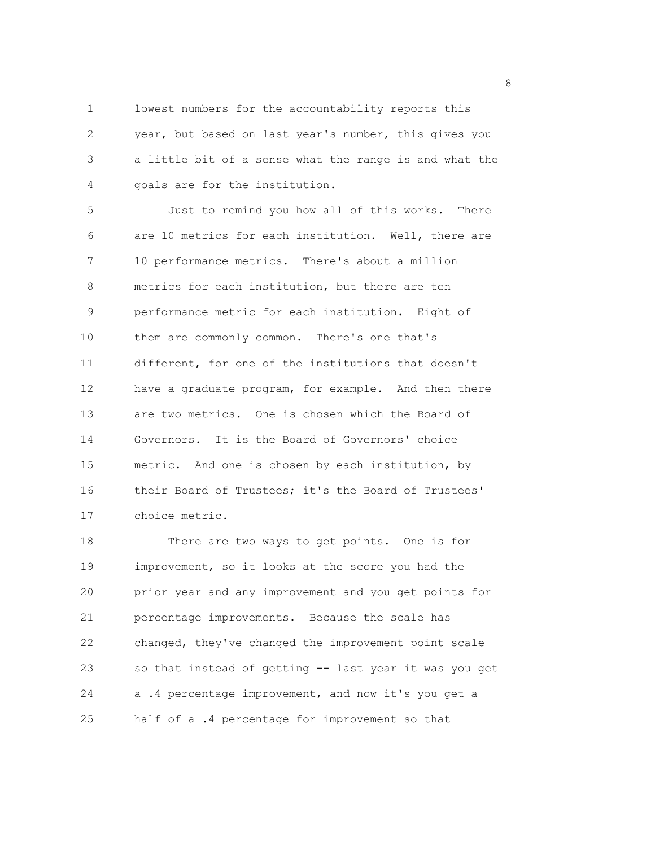1 lowest numbers for the accountability reports this 2 year, but based on last year's number, this gives you 3 a little bit of a sense what the range is and what the 4 goals are for the institution.

5 Just to remind you how all of this works. There 6 are 10 metrics for each institution. Well, there are 7 10 performance metrics. There's about a million 8 metrics for each institution, but there are ten 9 performance metric for each institution. Eight of 10 them are commonly common. There's one that's 11 different, for one of the institutions that doesn't 12 have a graduate program, for example. And then there 13 are two metrics. One is chosen which the Board of 14 Governors. It is the Board of Governors' choice 15 metric. And one is chosen by each institution, by 16 their Board of Trustees; it's the Board of Trustees' 17 choice metric.

18 There are two ways to get points. One is for 19 improvement, so it looks at the score you had the 20 prior year and any improvement and you get points for 21 percentage improvements. Because the scale has 22 changed, they've changed the improvement point scale 23 so that instead of getting -- last year it was you get 24 a .4 percentage improvement, and now it's you get a 25 half of a .4 percentage for improvement so that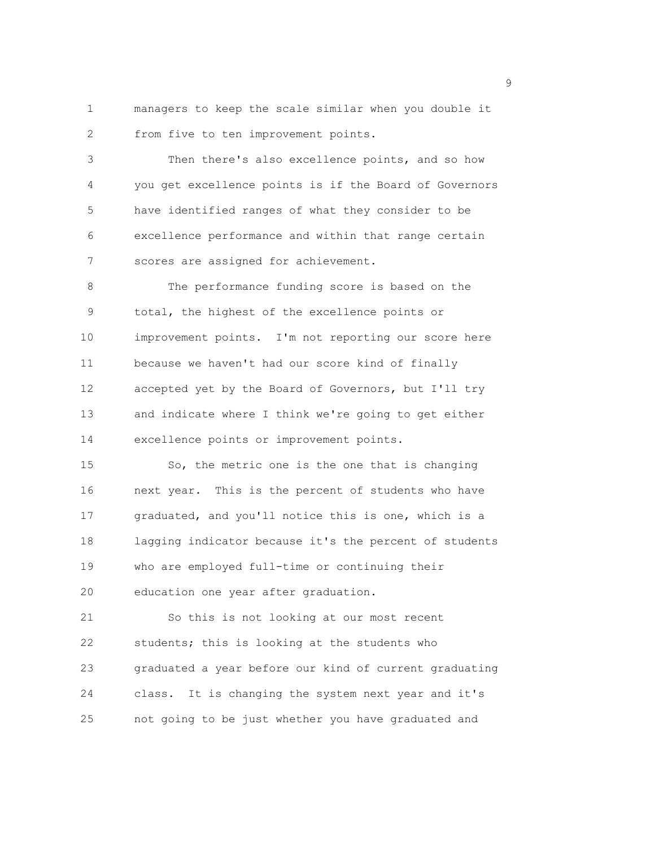1 managers to keep the scale similar when you double it 2 from five to ten improvement points.

3 Then there's also excellence points, and so how 4 you get excellence points is if the Board of Governors 5 have identified ranges of what they consider to be 6 excellence performance and within that range certain 7 scores are assigned for achievement.

8 The performance funding score is based on the 9 total, the highest of the excellence points or 10 improvement points. I'm not reporting our score here 11 because we haven't had our score kind of finally 12 accepted yet by the Board of Governors, but I'll try 13 and indicate where I think we're going to get either 14 excellence points or improvement points.

15 So, the metric one is the one that is changing 16 next year. This is the percent of students who have 17 graduated, and you'll notice this is one, which is a 18 lagging indicator because it's the percent of students 19 who are employed full-time or continuing their 20 education one year after graduation.

21 So this is not looking at our most recent 22 students; this is looking at the students who 23 graduated a year before our kind of current graduating 24 class. It is changing the system next year and it's 25 not going to be just whether you have graduated and

en de la provincia de la provincia de la provincia de la provincia de la provincia de la provincia de la provi<br>1900 : la provincia de la provincia de la provincia de la provincia de la provincia de la provincia de la prov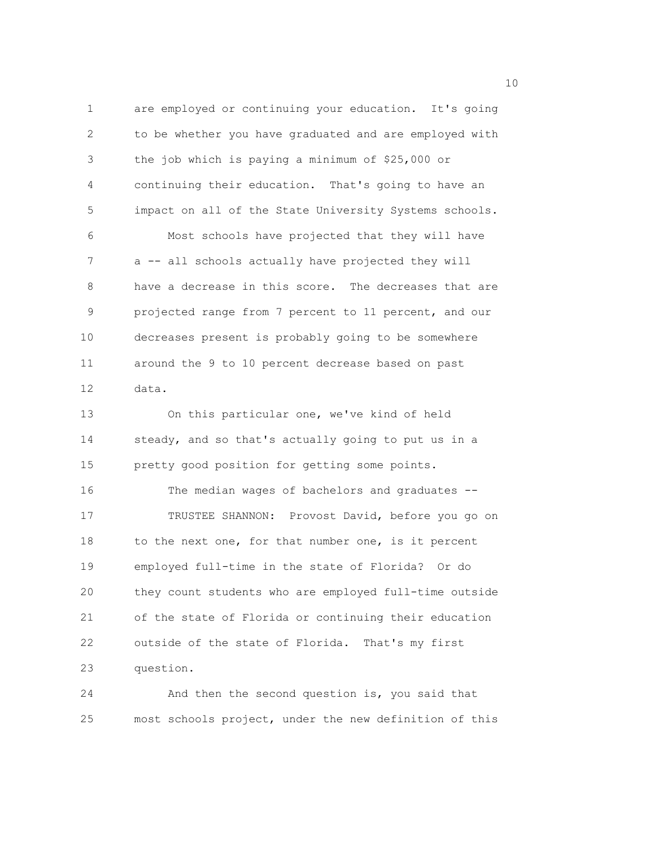1 are employed or continuing your education. It's going 2 to be whether you have graduated and are employed with 3 the job which is paying a minimum of \$25,000 or 4 continuing their education. That's going to have an 5 impact on all of the State University Systems schools. 6 Most schools have projected that they will have 7 a -- all schools actually have projected they will 8 have a decrease in this score. The decreases that are 9 projected range from 7 percent to 11 percent, and our 10 decreases present is probably going to be somewhere 11 around the 9 to 10 percent decrease based on past 12 data. 13 On this particular one, we've kind of held 14 steady, and so that's actually going to put us in a 15 pretty good position for getting some points. 16 The median wages of bachelors and graduates -- 17 TRUSTEE SHANNON: Provost David, before you go on 18 to the next one, for that number one, is it percent 19 employed full-time in the state of Florida? Or do 20 they count students who are employed full-time outside 21 of the state of Florida or continuing their education 22 outside of the state of Florida. That's my first 23 question.

24 And then the second question is, you said that 25 most schools project, under the new definition of this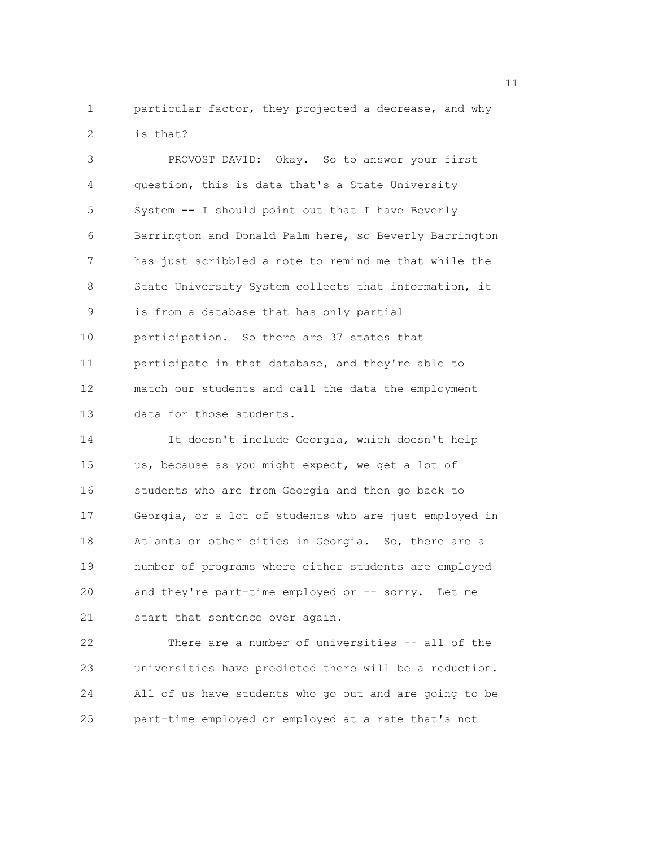1 particular factor, they projected a decrease, and why 2 is that?

3 PROVOST DAVID: Okay. So to answer your first 4 question, this is data that's a State University 5 System -- I should point out that I have Beverly 6 Barrington and Donald Palm here, so Beverly Barrington 7 has just scribbled a note to remind me that while the 8 State University System collects that information, it 9 is from a database that has only partial 10 participation. So there are 37 states that 11 participate in that database, and they're able to 12 match our students and call the data the employment 13 data for those students. 14 It doesn't include Georgia, which doesn't help 15 us, because as you might expect, we get a lot of 16 students who are from Georgia and then go back to 17 Georgia, or a lot of students who are just employed in 18 Atlanta or other cities in Georgia. So, there are a 19 number of programs where either students are employed 20 and they're part-time employed or -- sorry. Let me

21 start that sentence over again.

22 There are a number of universities -- all of the 23 universities have predicted there will be a reduction. 24 All of us have students who go out and are going to be 25 part-time employed or employed at a rate that's not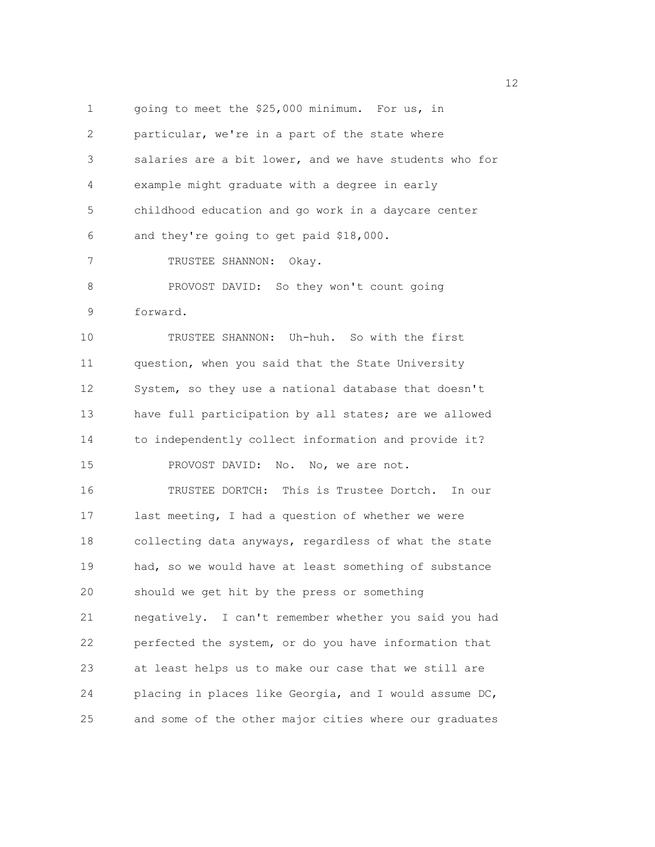1 going to meet the \$25,000 minimum. For us, in 2 particular, we're in a part of the state where 3 salaries are a bit lower, and we have students who for 4 example might graduate with a degree in early 5 childhood education and go work in a daycare center 6 and they're going to get paid \$18,000. 7 TRUSTEE SHANNON: Okay. 8 PROVOST DAVID: So they won't count going 9 forward. 10 TRUSTEE SHANNON: Uh-huh. So with the first 11 question, when you said that the State University 12 System, so they use a national database that doesn't 13 have full participation by all states; are we allowed 14 to independently collect information and provide it? 15 PROVOST DAVID: No. No, we are not. 16 TRUSTEE DORTCH: This is Trustee Dortch. In our 17 last meeting, I had a question of whether we were 18 collecting data anyways, regardless of what the state 19 had, so we would have at least something of substance 20 should we get hit by the press or something 21 negatively. I can't remember whether you said you had 22 perfected the system, or do you have information that 23 at least helps us to make our case that we still are 24 placing in places like Georgia, and I would assume DC, 25 and some of the other major cities where our graduates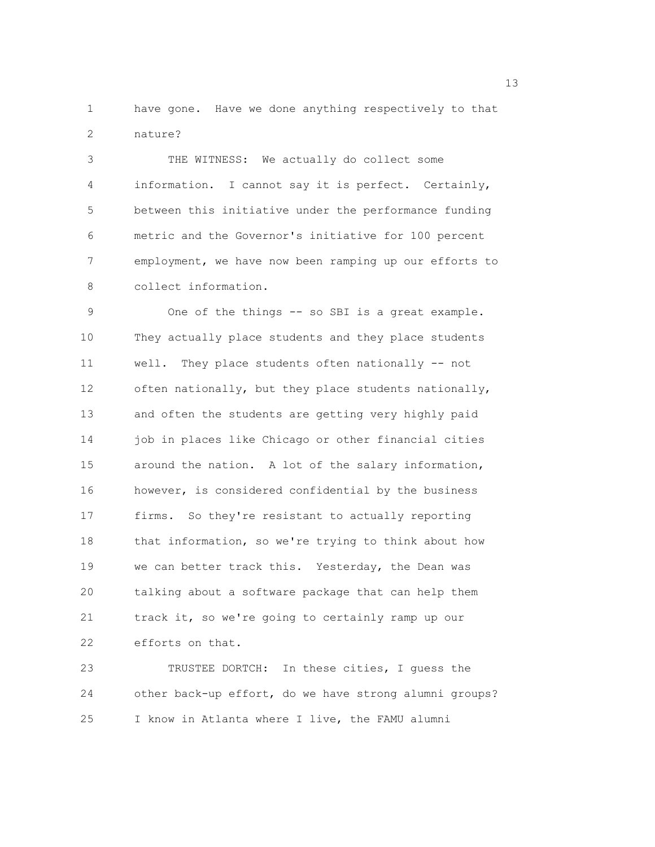1 have gone. Have we done anything respectively to that 2 nature?

3 THE WITNESS: We actually do collect some 4 information. I cannot say it is perfect. Certainly, 5 between this initiative under the performance funding 6 metric and the Governor's initiative for 100 percent 7 employment, we have now been ramping up our efforts to 8 collect information.

9 One of the things -- so SBI is a great example. 10 They actually place students and they place students 11 well. They place students often nationally -- not 12 often nationally, but they place students nationally, 13 and often the students are getting very highly paid 14 job in places like Chicago or other financial cities 15 around the nation. A lot of the salary information, 16 however, is considered confidential by the business 17 firms. So they're resistant to actually reporting 18 that information, so we're trying to think about how 19 we can better track this. Yesterday, the Dean was 20 talking about a software package that can help them 21 track it, so we're going to certainly ramp up our 22 efforts on that.

23 TRUSTEE DORTCH: In these cities, I guess the 24 other back-up effort, do we have strong alumni groups? 25 I know in Atlanta where I live, the FAMU alumni

13 and 13 and 13 and 13 and 13 and 13 and 13 and 13 and 13 and 13 and 13 and 13 and 13 and 13 and 13 and 13 and 13 and 13 and 13 and 13 and 13 and 13 and 13 and 13 and 13 and 13 and 13 and 13 and 13 and 13 and 13 and 13 an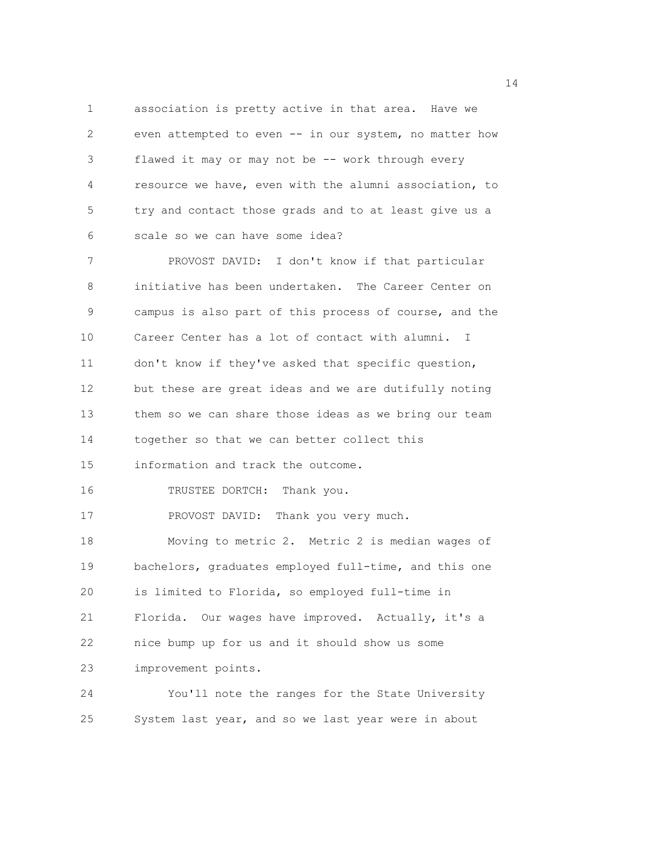1 association is pretty active in that area. Have we 2 even attempted to even -- in our system, no matter how 3 flawed it may or may not be -- work through every 4 resource we have, even with the alumni association, to 5 try and contact those grads and to at least give us a 6 scale so we can have some idea? 7 PROVOST DAVID: I don't know if that particular

8 initiative has been undertaken. The Career Center on 9 campus is also part of this process of course, and the 10 Career Center has a lot of contact with alumni. I 11 don't know if they've asked that specific question, 12 but these are great ideas and we are dutifully noting 13 them so we can share those ideas as we bring our team 14 together so that we can better collect this 15 information and track the outcome. 16 TRUSTEE DORTCH: Thank you. 17 PROVOST DAVID: Thank you very much. 18 Moving to metric 2. Metric 2 is median wages of 19 bachelors, graduates employed full-time, and this one 20 is limited to Florida, so employed full-time in 21 Florida. Our wages have improved. Actually, it's a 22 nice bump up for us and it should show us some 23 improvement points.

24 You'll note the ranges for the State University 25 System last year, and so we last year were in about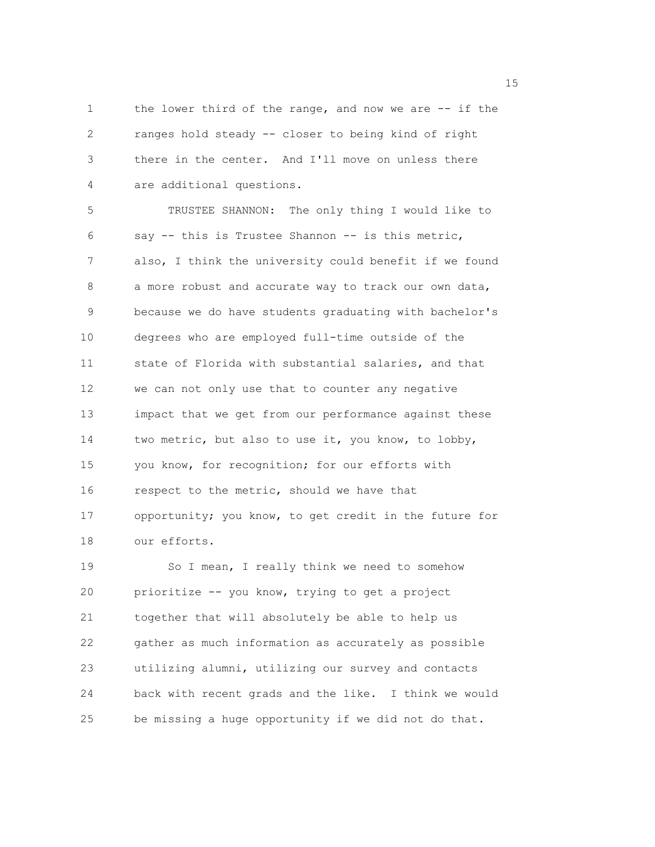1 the lower third of the range, and now we are -- if the 2 ranges hold steady -- closer to being kind of right 3 there in the center. And I'll move on unless there 4 are additional questions.

5 TRUSTEE SHANNON: The only thing I would like to 6 say -- this is Trustee Shannon -- is this metric, 7 also, I think the university could benefit if we found 8 a more robust and accurate way to track our own data, 9 because we do have students graduating with bachelor's 10 degrees who are employed full-time outside of the 11 state of Florida with substantial salaries, and that 12 we can not only use that to counter any negative 13 impact that we get from our performance against these 14 two metric, but also to use it, you know, to lobby, 15 you know, for recognition; for our efforts with 16 respect to the metric, should we have that 17 opportunity; you know, to get credit in the future for 18 our efforts.

19 So I mean, I really think we need to somehow 20 prioritize -- you know, trying to get a project 21 together that will absolutely be able to help us 22 gather as much information as accurately as possible 23 utilizing alumni, utilizing our survey and contacts 24 back with recent grads and the like. I think we would 25 be missing a huge opportunity if we did not do that.

n 15 ann an 15 an t-Òire ann an 15 an t-Òire an t-Òire an t-Òire an t-Òire ann an 15 an t-Òire an t-Òire an t-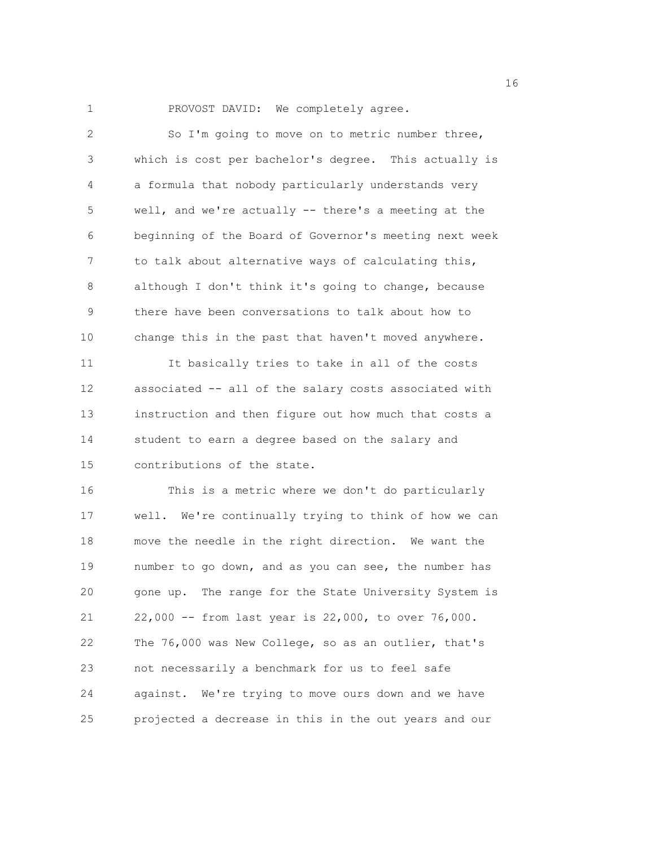1 PROVOST DAVID: We completely agree.

| $\overline{c}$ | So I'm going to move on to metric number three,        |
|----------------|--------------------------------------------------------|
| 3              | which is cost per bachelor's degree. This actually is  |
| 4              | a formula that nobody particularly understands very    |
| 5              | well, and we're actually -- there's a meeting at the   |
| 6              | beginning of the Board of Governor's meeting next week |
| 7              | to talk about alternative ways of calculating this,    |
| 8              | although I don't think it's going to change, because   |
| 9              | there have been conversations to talk about how to     |
| 10             | change this in the past that haven't moved anywhere.   |
| 11             | It basically tries to take in all of the costs         |
| 12             | associated -- all of the salary costs associated with  |
| 13             | instruction and then figure out how much that costs a  |
| 14             | student to earn a degree based on the salary and       |
| 15             | contributions of the state.                            |
| 16             | This is a metric where we don't do particularly        |
| 17             | well. We're continually trying to think of how we can  |
| 18             | move the needle in the right direction. We want the    |
| 19             | number to go down, and as you can see, the number has  |
| 20             | gone up. The range for the State University System is  |
| 21             | 22,000 -- from last year is 22,000, to over 76,000.    |
| 22             | The 76,000 was New College, so as an outlier, that's   |
| 23             | not necessarily a benchmark for us to feel safe        |
| 24             | against. We're trying to move ours down and we have    |
| 25             | projected a decrease in this in the out years and our  |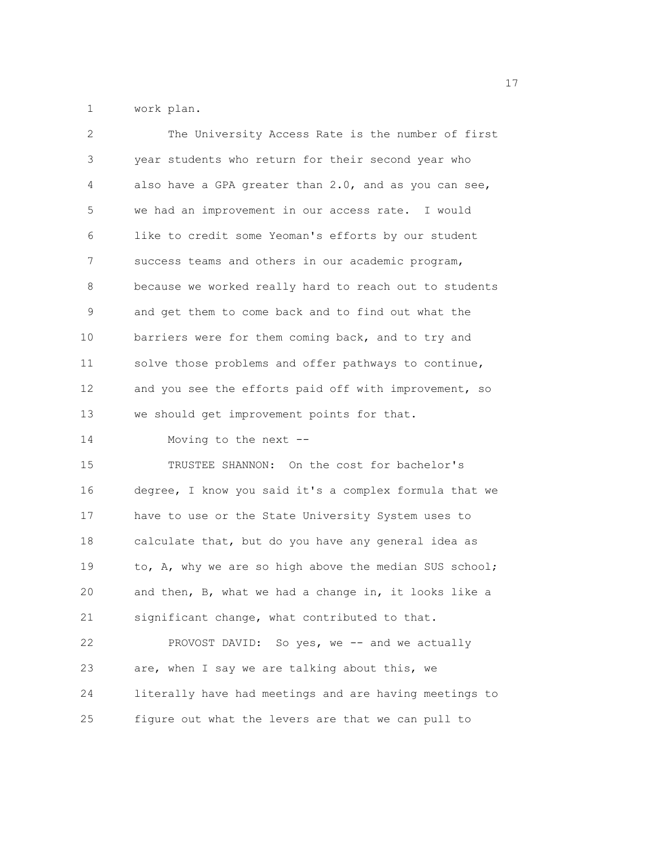1 work plan.

| 2  | The University Access Rate is the number of first      |
|----|--------------------------------------------------------|
| 3  | year students who return for their second year who     |
| 4  | also have a GPA greater than 2.0, and as you can see,  |
| 5  | we had an improvement in our access rate. I would      |
| 6  | like to credit some Yeoman's efforts by our student    |
| 7  | success teams and others in our academic program,      |
| 8  | because we worked really hard to reach out to students |
| 9  | and get them to come back and to find out what the     |
| 10 | barriers were for them coming back, and to try and     |
| 11 | solve those problems and offer pathways to continue,   |
| 12 | and you see the efforts paid off with improvement, so  |
| 13 | we should get improvement points for that.             |
| 14 | Moving to the next --                                  |
| 15 | TRUSTEE SHANNON: On the cost for bachelor's            |
| 16 | degree, I know you said it's a complex formula that we |
| 17 | have to use or the State University System uses to     |
| 18 | calculate that, but do you have any general idea as    |
| 19 | to, A, why we are so high above the median SUS school; |
| 20 | and then, B, what we had a change in, it looks like a  |
| 21 | significant change, what contributed to that.          |
| 22 | PROVOST DAVID: So yes, we -- and we actually           |
| 23 | are, when I say we are talking about this, we          |
| 24 | literally have had meetings and are having meetings to |
| 25 | figure out what the levers are that we can pull to     |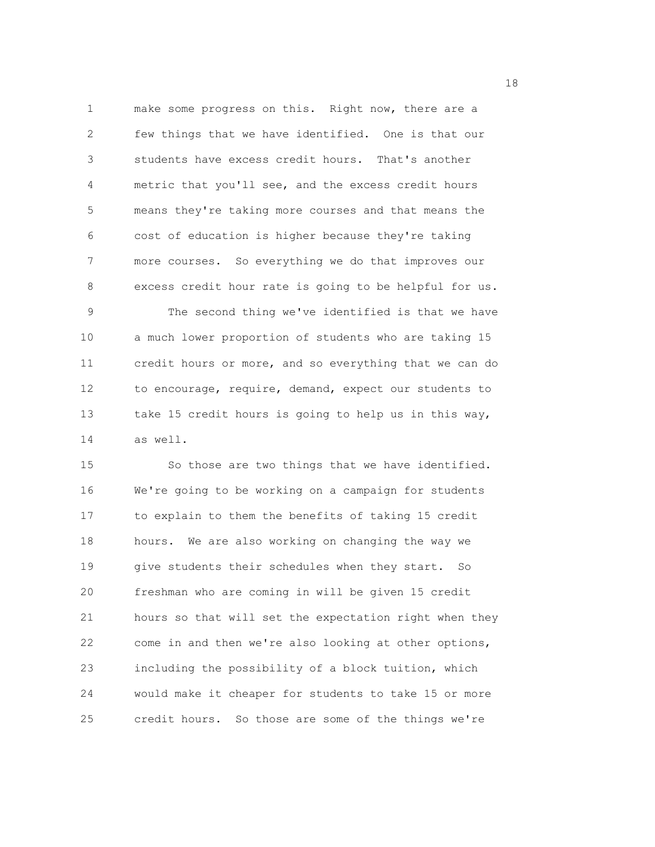1 make some progress on this. Right now, there are a 2 few things that we have identified. One is that our 3 students have excess credit hours. That's another 4 metric that you'll see, and the excess credit hours 5 means they're taking more courses and that means the 6 cost of education is higher because they're taking 7 more courses. So everything we do that improves our 8 excess credit hour rate is going to be helpful for us. 9 The second thing we've identified is that we have 10 a much lower proportion of students who are taking 15 11 credit hours or more, and so everything that we can do 12 to encourage, require, demand, expect our students to 13 take 15 credit hours is going to help us in this way, 14 as well.

15 So those are two things that we have identified. 16 We're going to be working on a campaign for students 17 to explain to them the benefits of taking 15 credit 18 hours. We are also working on changing the way we 19 give students their schedules when they start. So 20 freshman who are coming in will be given 15 credit 21 hours so that will set the expectation right when they 22 come in and then we're also looking at other options, 23 including the possibility of a block tuition, which 24 would make it cheaper for students to take 15 or more 25 credit hours. So those are some of the things we're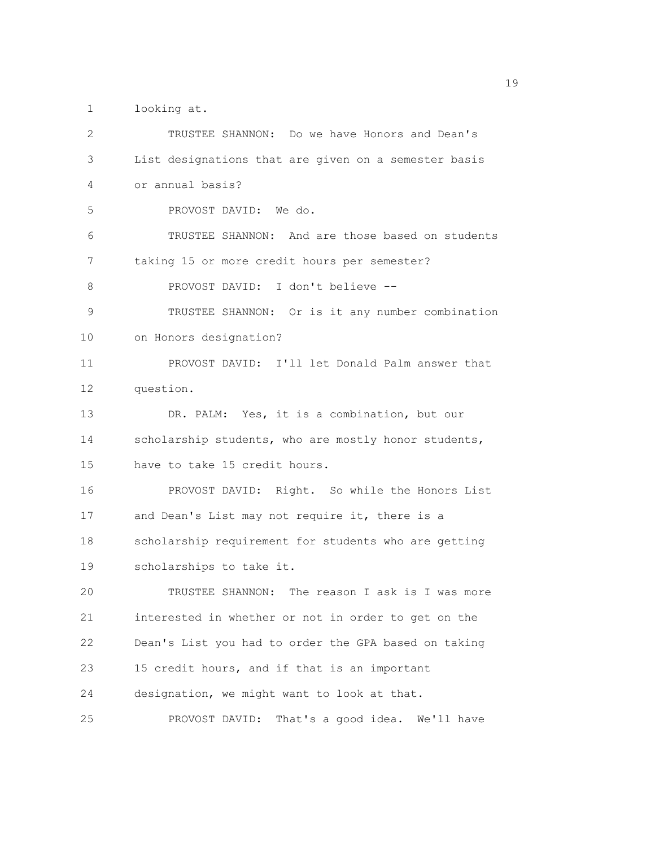1 looking at.

| 2  | TRUSTEE SHANNON: Do we have Honors and Dean's        |
|----|------------------------------------------------------|
| 3  | List designations that are given on a semester basis |
| 4  | or annual basis?                                     |
| 5  | PROVOST DAVID: We do.                                |
| 6  | TRUSTEE SHANNON: And are those based on students     |
| 7  | taking 15 or more credit hours per semester?         |
| 8  | PROVOST DAVID: I don't believe --                    |
| 9  | TRUSTEE SHANNON: Or is it any number combination     |
| 10 | on Honors designation?                               |
| 11 | PROVOST DAVID: I'll let Donald Palm answer that      |
| 12 | question.                                            |
| 13 | DR. PALM: Yes, it is a combination, but our          |
| 14 | scholarship students, who are mostly honor students, |
| 15 | have to take 15 credit hours.                        |
| 16 | PROVOST DAVID: Right. So while the Honors List       |
| 17 | and Dean's List may not require it, there is a       |
| 18 | scholarship requirement for students who are getting |
| 19 | scholarships to take it.                             |
| 20 | TRUSTEE SHANNON: The reason I ask is I was more      |
| 21 | interested in whether or not in order to get on the  |
| 22 | Dean's List you had to order the GPA based on taking |
| 23 | 15 credit hours, and if that is an important         |
| 24 | designation, we might want to look at that.          |
| 25 | PROVOST DAVID: That's a good idea. We'll have        |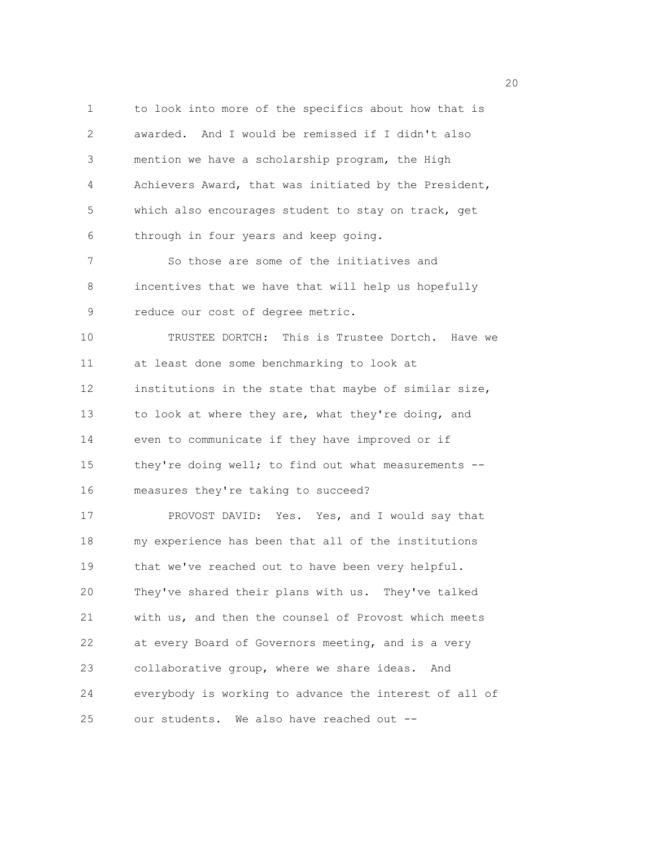1 to look into more of the specifics about how that is 2 awarded. And I would be remissed if I didn't also 3 mention we have a scholarship program, the High 4 Achievers Award, that was initiated by the President, 5 which also encourages student to stay on track, get 6 through in four years and keep going. 7 So those are some of the initiatives and 8 incentives that we have that will help us hopefully 9 reduce our cost of degree metric. 10 TRUSTEE DORTCH: This is Trustee Dortch. Have we 11 at least done some benchmarking to look at 12 institutions in the state that maybe of similar size, 13 to look at where they are, what they're doing, and 14 even to communicate if they have improved or if 15 they're doing well; to find out what measurements -- 16 measures they're taking to succeed? 17 PROVOST DAVID: Yes. Yes, and I would say that 18 my experience has been that all of the institutions 19 that we've reached out to have been very helpful. 20 They've shared their plans with us. They've talked 21 with us, and then the counsel of Provost which meets 22 at every Board of Governors meeting, and is a very 23 collaborative group, where we share ideas. And 24 everybody is working to advance the interest of all of 25 our students. We also have reached out --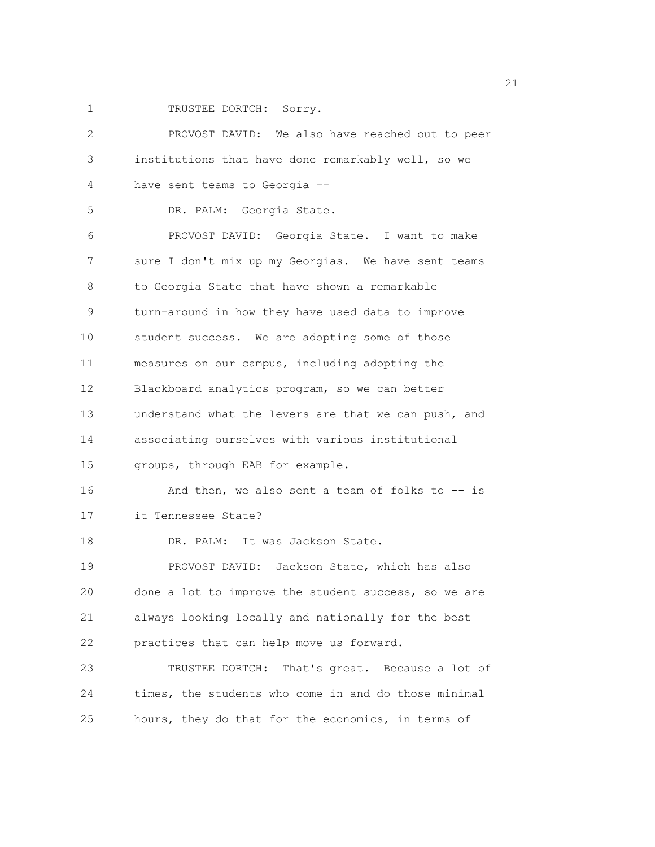1 TRUSTEE DORTCH: Sorry.

| 2  | PROVOST DAVID: We also have reached out to peer      |
|----|------------------------------------------------------|
| 3  | institutions that have done remarkably well, so we   |
| 4  | have sent teams to Georgia --                        |
| 5  | DR. PALM: Georgia State.                             |
| 6  | PROVOST DAVID: Georgia State. I want to make         |
| 7  | sure I don't mix up my Georgias. We have sent teams  |
| 8  | to Georgia State that have shown a remarkable        |
| 9  | turn-around in how they have used data to improve    |
| 10 | student success. We are adopting some of those       |
| 11 | measures on our campus, including adopting the       |
| 12 | Blackboard analytics program, so we can better       |
| 13 | understand what the levers are that we can push, and |
| 14 | associating ourselves with various institutional     |
| 15 | groups, through EAB for example.                     |
| 16 | And then, we also sent a team of folks to $-$ is     |
| 17 | it Tennessee State?                                  |
| 18 | DR. PALM: It was Jackson State.                      |
| 19 | PROVOST DAVID: Jackson State, which has also         |
| 20 | done a lot to improve the student success, so we are |
| 21 | always looking locally and nationally for the best   |
| 22 | practices that can help move us forward.             |
| 23 | TRUSTEE DORTCH: That's great. Because a lot of       |
| 24 | times, the students who come in and do those minimal |
| 25 | hours, they do that for the economics, in terms of   |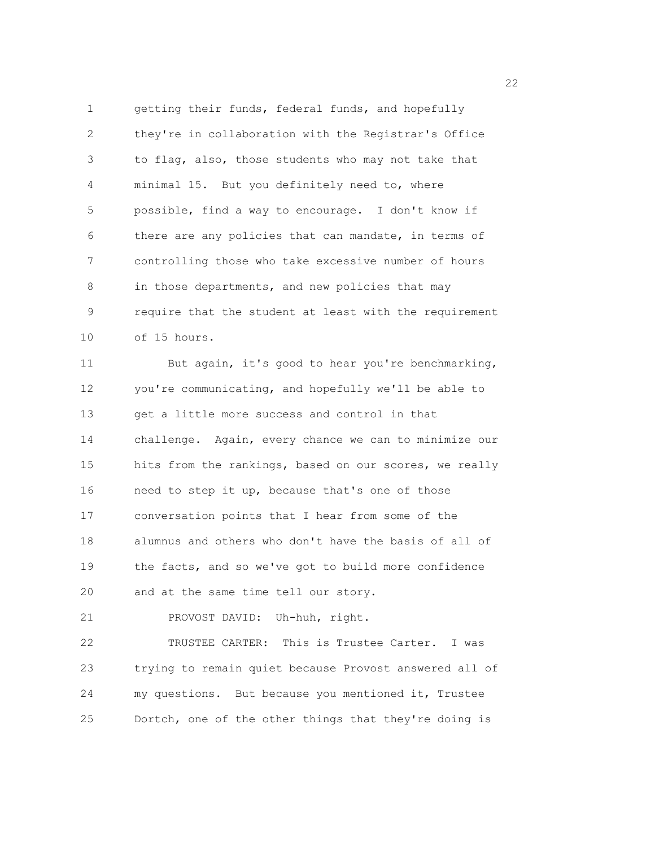1 getting their funds, federal funds, and hopefully 2 they're in collaboration with the Registrar's Office 3 to flag, also, those students who may not take that 4 minimal 15. But you definitely need to, where 5 possible, find a way to encourage. I don't know if 6 there are any policies that can mandate, in terms of 7 controlling those who take excessive number of hours 8 in those departments, and new policies that may 9 require that the student at least with the requirement 10 of 15 hours.

11 But again, it's good to hear you're benchmarking, 12 you're communicating, and hopefully we'll be able to 13 get a little more success and control in that 14 challenge. Again, every chance we can to minimize our 15 hits from the rankings, based on our scores, we really 16 need to step it up, because that's one of those 17 conversation points that I hear from some of the 18 alumnus and others who don't have the basis of all of 19 the facts, and so we've got to build more confidence 20 and at the same time tell our story.

21 PROVOST DAVID: Uh-huh, right.

22 TRUSTEE CARTER: This is Trustee Carter. I was 23 trying to remain quiet because Provost answered all of 24 my questions. But because you mentioned it, Trustee 25 Dortch, one of the other things that they're doing is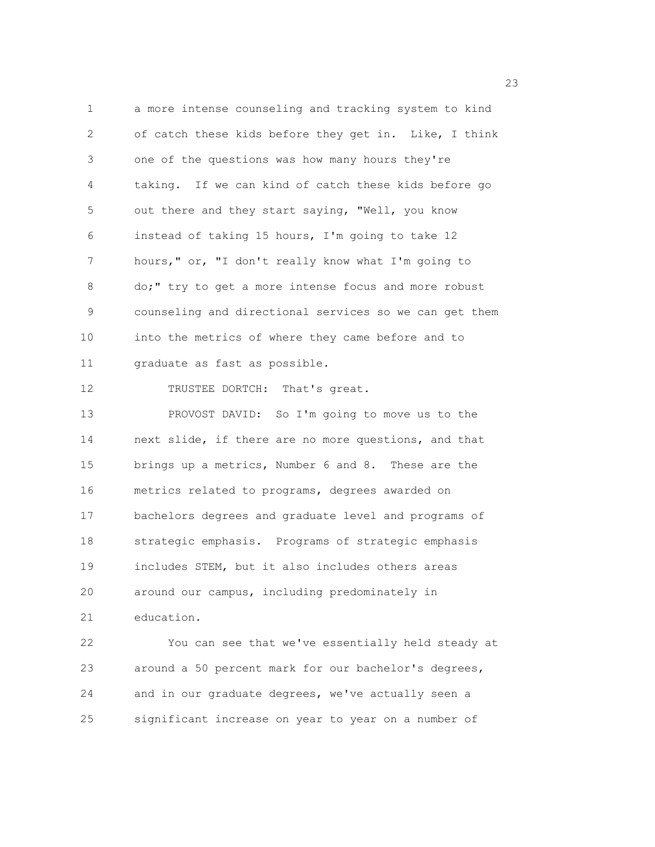1 a more intense counseling and tracking system to kind 2 of catch these kids before they get in. Like, I think 3 one of the questions was how many hours they're 4 taking. If we can kind of catch these kids before go 5 out there and they start saying, "Well, you know 6 instead of taking 15 hours, I'm going to take 12 7 hours," or, "I don't really know what I'm going to 8 do;" try to get a more intense focus and more robust 9 counseling and directional services so we can get them 10 into the metrics of where they came before and to 11 graduate as fast as possible. 12 TRUSTEE DORTCH: That's great. 13 PROVOST DAVID: So I'm going to move us to the 14 next slide, if there are no more questions, and that 15 brings up a metrics, Number 6 and 8. These are the 16 metrics related to programs, degrees awarded on 17 bachelors degrees and graduate level and programs of 18 strategic emphasis. Programs of strategic emphasis 19 includes STEM, but it also includes others areas 20 around our campus, including predominately in 21 education. 22 You can see that we've essentially held steady at

23 around a 50 percent mark for our bachelor's degrees, 24 and in our graduate degrees, we've actually seen a 25 significant increase on year to year on a number of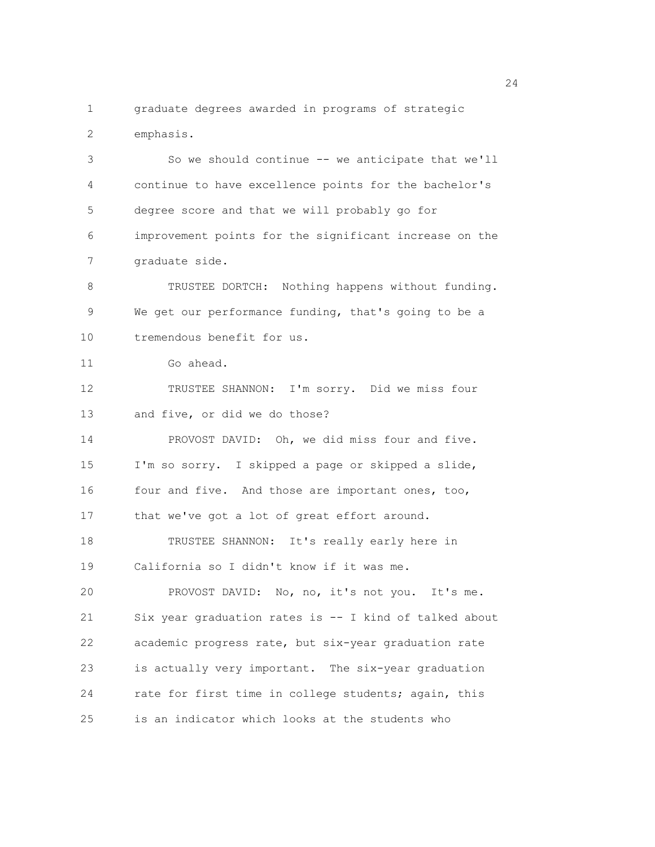1 graduate degrees awarded in programs of strategic 2 emphasis.

3 So we should continue -- we anticipate that we'll 4 continue to have excellence points for the bachelor's 5 degree score and that we will probably go for 6 improvement points for the significant increase on the 7 graduate side.

8 TRUSTEE DORTCH: Nothing happens without funding. 9 We get our performance funding, that's going to be a 10 tremendous benefit for us.

11 Go ahead.

12 TRUSTEE SHANNON: I'm sorry. Did we miss four 13 and five, or did we do those?

14 PROVOST DAVID: Oh, we did miss four and five. 15 I'm so sorry. I skipped a page or skipped a slide, 16 four and five. And those are important ones, too, 17 that we've got a lot of great effort around.

18 TRUSTEE SHANNON: It's really early here in 19 California so I didn't know if it was me.

20 PROVOST DAVID: No, no, it's not you. It's me. 21 Six year graduation rates is -- I kind of talked about 22 academic progress rate, but six-year graduation rate 23 is actually very important. The six-year graduation 24 rate for first time in college students; again, this 25 is an indicator which looks at the students who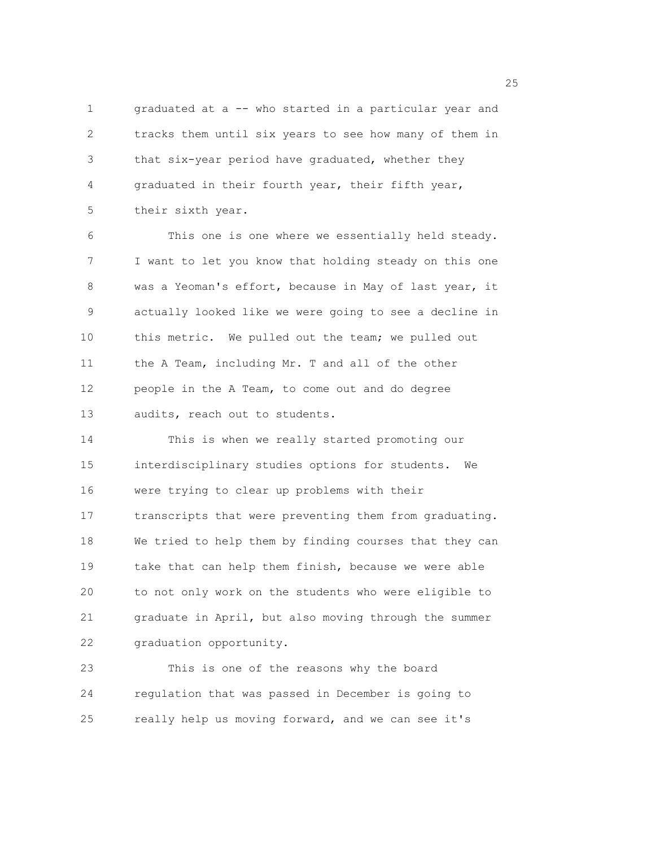1 graduated at a -- who started in a particular year and 2 tracks them until six years to see how many of them in 3 that six-year period have graduated, whether they 4 graduated in their fourth year, their fifth year, 5 their sixth year.

6 This one is one where we essentially held steady. 7 I want to let you know that holding steady on this one 8 was a Yeoman's effort, because in May of last year, it 9 actually looked like we were going to see a decline in 10 this metric. We pulled out the team; we pulled out 11 the A Team, including Mr. T and all of the other 12 people in the A Team, to come out and do degree 13 audits, reach out to students.

14 This is when we really started promoting our 15 interdisciplinary studies options for students. We 16 were trying to clear up problems with their 17 transcripts that were preventing them from graduating. 18 We tried to help them by finding courses that they can 19 take that can help them finish, because we were able 20 to not only work on the students who were eligible to 21 graduate in April, but also moving through the summer 22 graduation opportunity.

23 This is one of the reasons why the board 24 regulation that was passed in December is going to 25 really help us moving forward, and we can see it's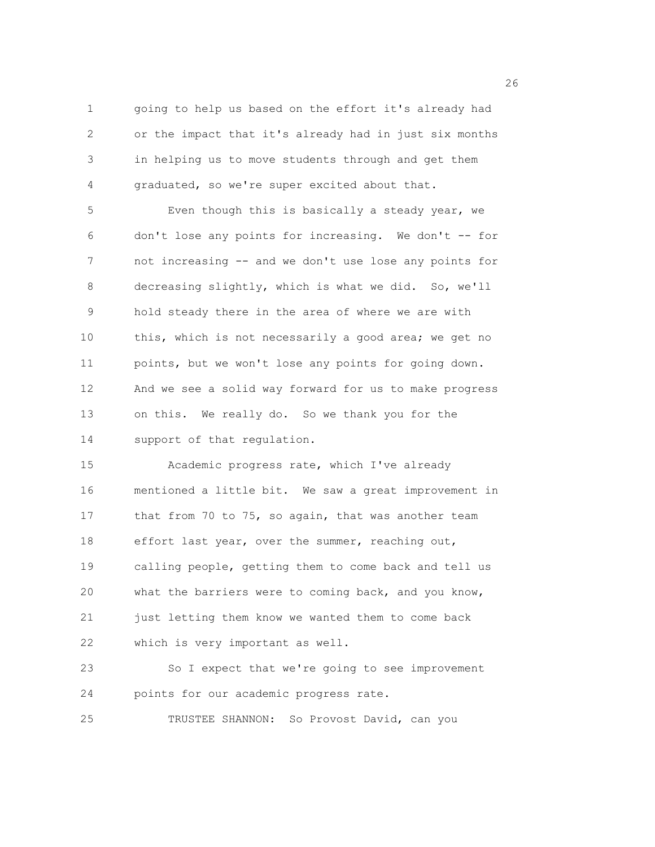1 going to help us based on the effort it's already had 2 or the impact that it's already had in just six months 3 in helping us to move students through and get them 4 graduated, so we're super excited about that.

5 Even though this is basically a steady year, we 6 don't lose any points for increasing. We don't -- for 7 not increasing -- and we don't use lose any points for 8 decreasing slightly, which is what we did. So, we'll 9 hold steady there in the area of where we are with 10 this, which is not necessarily a good area; we get no 11 points, but we won't lose any points for going down. 12 And we see a solid way forward for us to make progress 13 on this. We really do. So we thank you for the 14 support of that regulation.

15 Academic progress rate, which I've already 16 mentioned a little bit. We saw a great improvement in 17 that from 70 to 75, so again, that was another team 18 effort last year, over the summer, reaching out, 19 calling people, getting them to come back and tell us 20 what the barriers were to coming back, and you know, 21 just letting them know we wanted them to come back 22 which is very important as well.

23 So I expect that we're going to see improvement 24 points for our academic progress rate.

25 TRUSTEE SHANNON: So Provost David, can you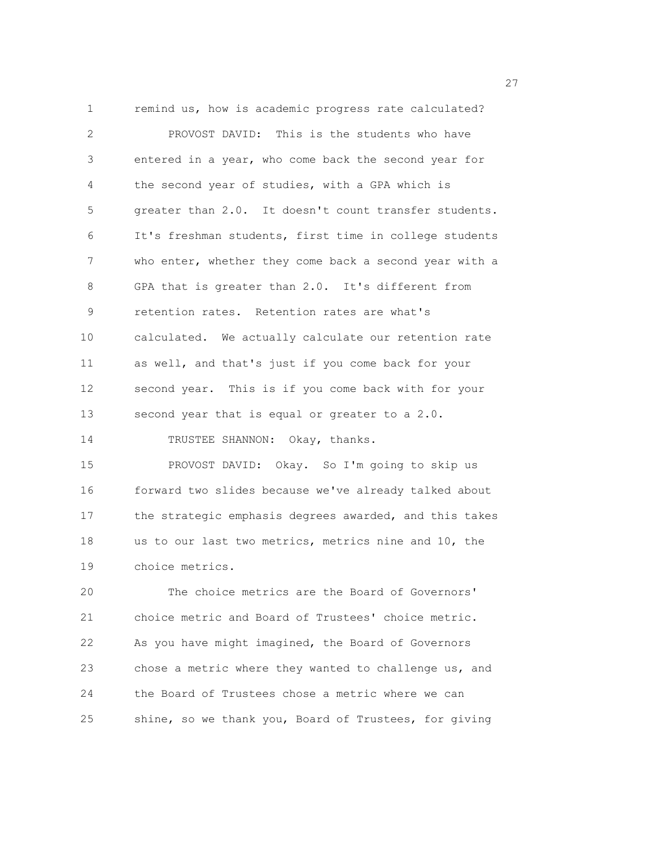1 remind us, how is academic progress rate calculated? 2 PROVOST DAVID: This is the students who have 3 entered in a year, who come back the second year for 4 the second year of studies, with a GPA which is 5 greater than 2.0. It doesn't count transfer students. 6 It's freshman students, first time in college students 7 who enter, whether they come back a second year with a 8 GPA that is greater than 2.0. It's different from 9 retention rates. Retention rates are what's 10 calculated. We actually calculate our retention rate 11 as well, and that's just if you come back for your 12 second year. This is if you come back with for your 13 second year that is equal or greater to a 2.0. 14 TRUSTEE SHANNON: Okay, thanks. 15 PROVOST DAVID: Okay. So I'm going to skip us 16 forward two slides because we've already talked about 17 the strategic emphasis degrees awarded, and this takes 18 us to our last two metrics, metrics nine and 10, the 19 choice metrics. 20 The choice metrics are the Board of Governors' 21 choice metric and Board of Trustees' choice metric.

22 As you have might imagined, the Board of Governors 23 chose a metric where they wanted to challenge us, and 24 the Board of Trustees chose a metric where we can 25 shine, so we thank you, Board of Trustees, for giving

<u>27</u>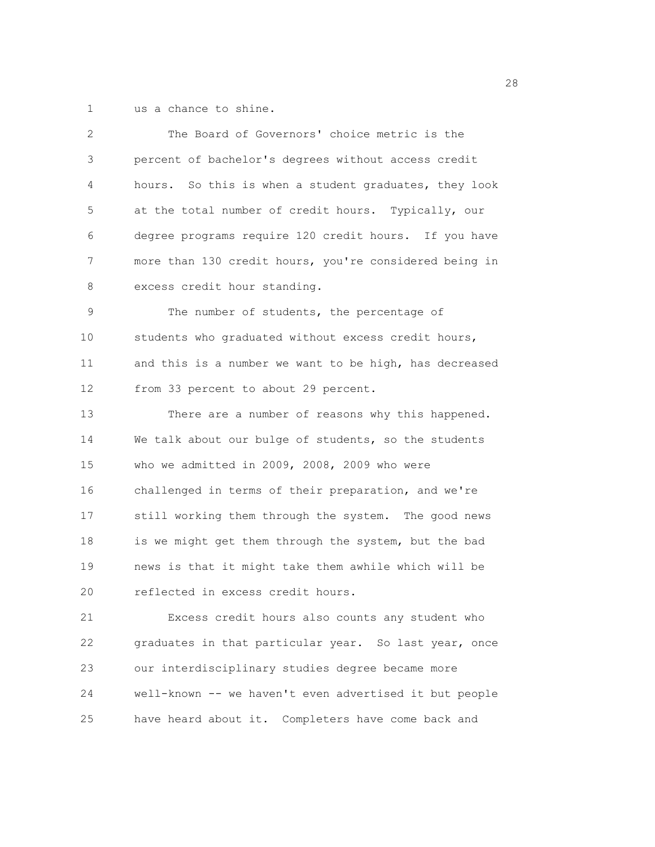1 us a chance to shine.

| $\overline{2}$ | The Board of Governors' choice metric is the           |
|----------------|--------------------------------------------------------|
| 3              | percent of bachelor's degrees without access credit    |
| 4              | hours. So this is when a student graduates, they look  |
| 5              | at the total number of credit hours. Typically, our    |
| 6              | degree programs require 120 credit hours. If you have  |
| 7              | more than 130 credit hours, you're considered being in |
| 8              | excess credit hour standing.                           |
| 9              | The number of students, the percentage of              |
| 10             | students who graduated without excess credit hours,    |
| 11             | and this is a number we want to be high, has decreased |
| 12             | from 33 percent to about 29 percent.                   |
| 13             | There are a number of reasons why this happened.       |
| 14             | We talk about our bulge of students, so the students   |
| 15             | who we admitted in 2009, 2008, 2009 who were           |
| 16             | challenged in terms of their preparation, and we're    |
| 17             | still working them through the system. The good news   |
| 18             | is we might get them through the system, but the bad   |
| 19             | news is that it might take them awhile which will be   |
| 20             | reflected in excess credit hours.                      |
| 21             | Excess credit hours also counts any student who        |
| 22             | graduates in that particular year. So last year, once  |
| 23             | our interdisciplinary studies degree became more       |
| 24             | well-known -- we haven't even advertised it but people |
| 25             | have heard about it. Completers have come back and     |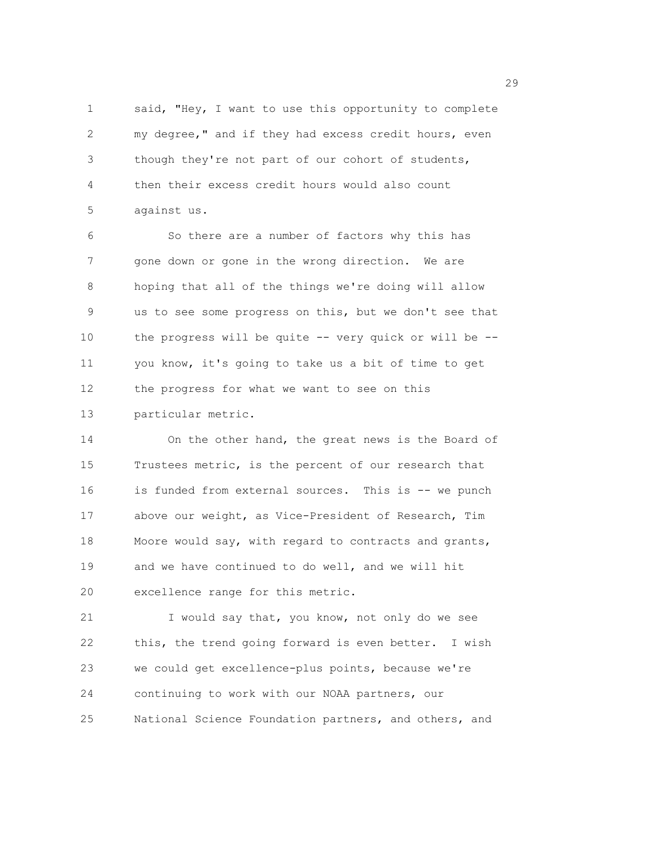1 said, "Hey, I want to use this opportunity to complete 2 my degree," and if they had excess credit hours, even 3 though they're not part of our cohort of students, 4 then their excess credit hours would also count 5 against us.

6 So there are a number of factors why this has 7 gone down or gone in the wrong direction. We are 8 hoping that all of the things we're doing will allow 9 us to see some progress on this, but we don't see that 10 the progress will be quite -- very quick or will be -- 11 you know, it's going to take us a bit of time to get 12 the progress for what we want to see on this 13 particular metric.

14 On the other hand, the great news is the Board of 15 Trustees metric, is the percent of our research that 16 is funded from external sources. This is -- we punch 17 above our weight, as Vice-President of Research, Tim 18 Moore would say, with regard to contracts and grants, 19 and we have continued to do well, and we will hit 20 excellence range for this metric.

21 I would say that, you know, not only do we see 22 this, the trend going forward is even better. I wish 23 we could get excellence-plus points, because we're 24 continuing to work with our NOAA partners, our 25 National Science Foundation partners, and others, and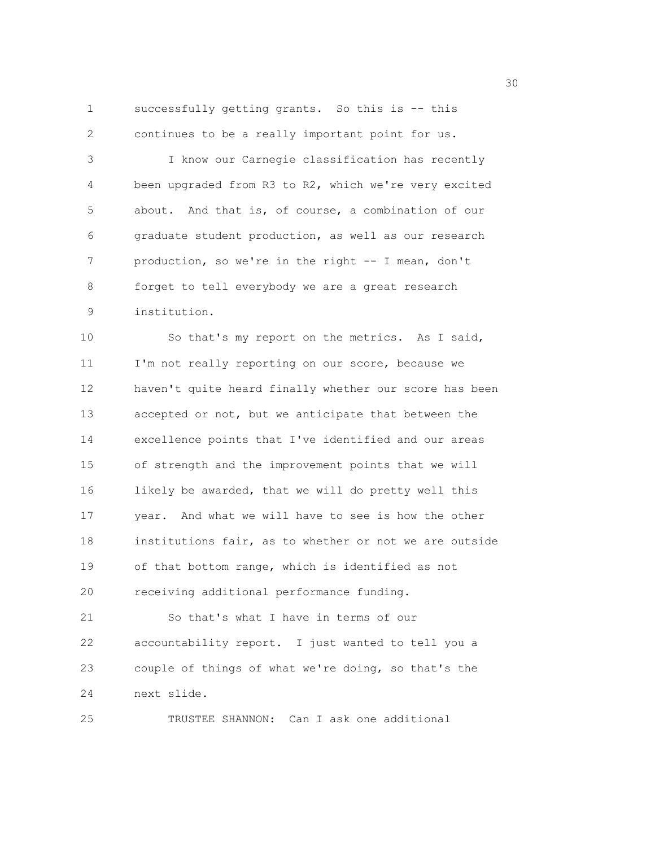```
1 successfully getting grants. So this is -- this 
2 continues to be a really important point for us.
```
3 I know our Carnegie classification has recently 4 been upgraded from R3 to R2, which we're very excited 5 about. And that is, of course, a combination of our 6 graduate student production, as well as our research 7 production, so we're in the right -- I mean, don't 8 forget to tell everybody we are a great research 9 institution.

10 So that's my report on the metrics. As I said, 11 I'm not really reporting on our score, because we 12 haven't quite heard finally whether our score has been 13 accepted or not, but we anticipate that between the 14 excellence points that I've identified and our areas 15 of strength and the improvement points that we will 16 likely be awarded, that we will do pretty well this 17 year. And what we will have to see is how the other 18 institutions fair, as to whether or not we are outside 19 of that bottom range, which is identified as not 20 receiving additional performance funding. 21 So that's what I have in terms of our 22 accountability report. I just wanted to tell you a

23 couple of things of what we're doing, so that's the 24 next slide.

25 TRUSTEE SHANNON: Can I ask one additional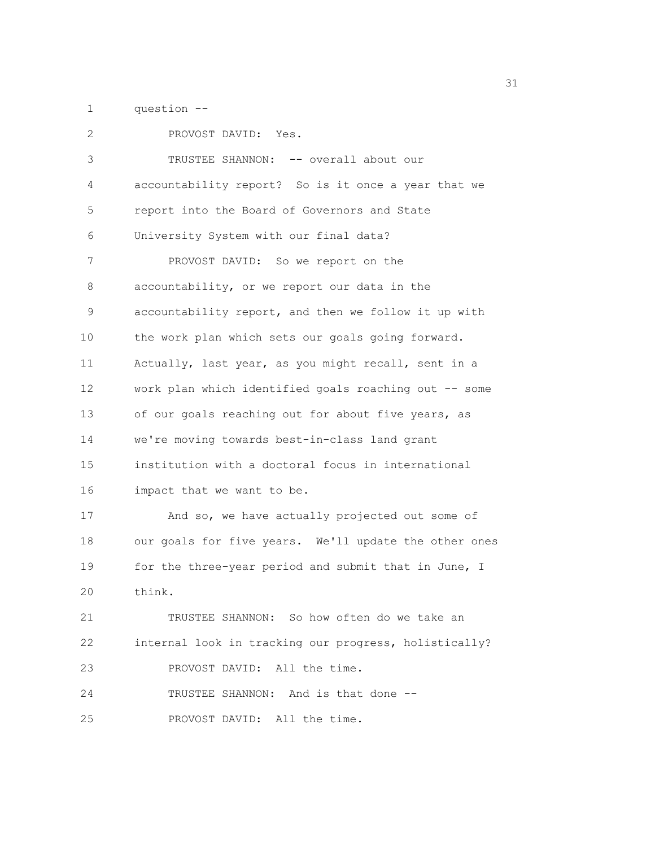1 question --

| $\overline{c}$    | PROVOST DAVID: Yes.                                   |
|-------------------|-------------------------------------------------------|
| 3                 | TRUSTEE SHANNON: -- overall about our                 |
| 4                 | accountability report? So is it once a year that we   |
| 5                 | report into the Board of Governors and State          |
| 6                 | University System with our final data?                |
| 7                 | PROVOST DAVID: So we report on the                    |
| 8                 | accountability, or we report our data in the          |
| 9                 | accountability report, and then we follow it up with  |
| 10                | the work plan which sets our goals going forward.     |
| 11                | Actually, last year, as you might recall, sent in a   |
| $12 \overline{ }$ | work plan which identified goals roaching out -- some |
| 13                | of our goals reaching out for about five years, as    |
| 14                | we're moving towards best-in-class land grant         |
| 15                | institution with a doctoral focus in international    |
| 16                | impact that we want to be.                            |
| 17                | And so, we have actually projected out some of        |
| 18                | our goals for five years. We'll update the other ones |
| 19                | for the three-year period and submit that in June, I  |
| 20                | think.                                                |
| 21                | TRUSTEE SHANNON: So how often do we take an           |
| 22                | internal look in tracking our progress, holistically? |
| 23                | PROVOST DAVID: All the time.                          |
| 24                | TRUSTEE SHANNON: And is that done --                  |
| 25                | PROVOST DAVID: All the time.                          |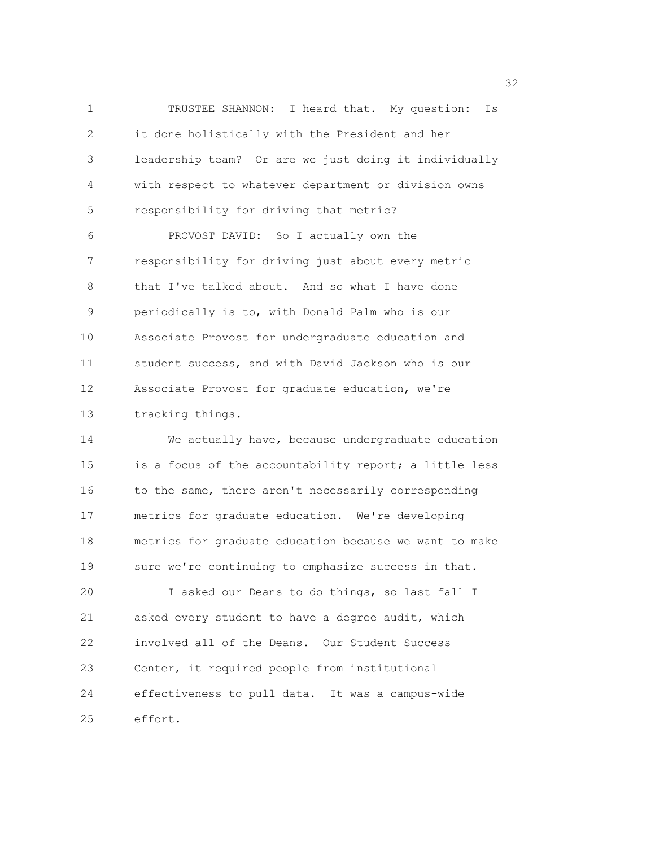1 TRUSTEE SHANNON: I heard that. My question: Is 2 it done holistically with the President and her 3 leadership team? Or are we just doing it individually 4 with respect to whatever department or division owns 5 responsibility for driving that metric? 6 PROVOST DAVID: So I actually own the 7 responsibility for driving just about every metric 8 that I've talked about. And so what I have done 9 periodically is to, with Donald Palm who is our 10 Associate Provost for undergraduate education and 11 student success, and with David Jackson who is our 12 Associate Provost for graduate education, we're 13 tracking things. 14 We actually have, because undergraduate education 15 is a focus of the accountability report; a little less

16 to the same, there aren't necessarily corresponding 17 metrics for graduate education. We're developing 18 metrics for graduate education because we want to make 19 sure we're continuing to emphasize success in that.

20 I asked our Deans to do things, so last fall I 21 asked every student to have a degree audit, which 22 involved all of the Deans. Our Student Success 23 Center, it required people from institutional 24 effectiveness to pull data. It was a campus-wide 25 effort.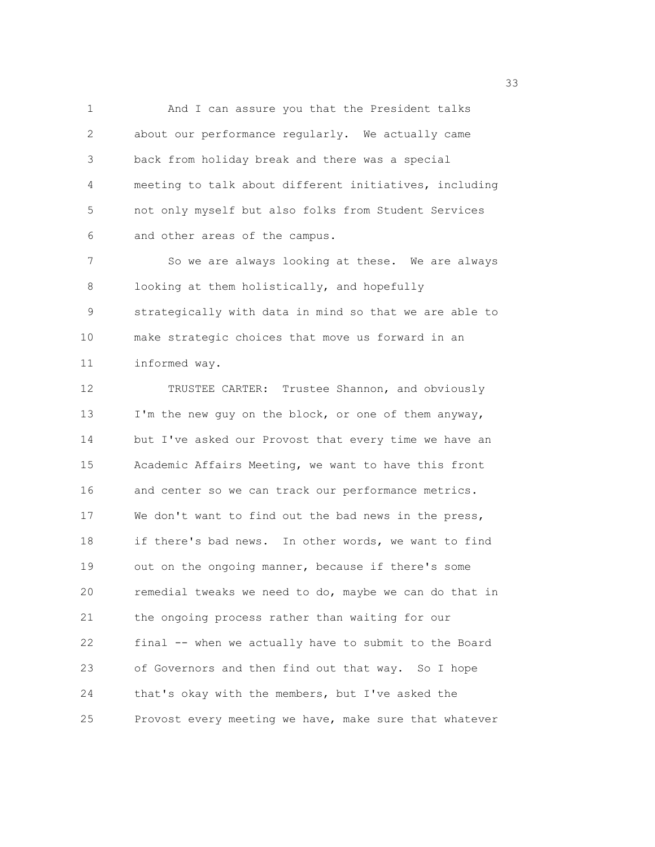1 And I can assure you that the President talks 2 about our performance regularly. We actually came 3 back from holiday break and there was a special 4 meeting to talk about different initiatives, including 5 not only myself but also folks from Student Services 6 and other areas of the campus.

7 So we are always looking at these. We are always 8 looking at them holistically, and hopefully 9 strategically with data in mind so that we are able to 10 make strategic choices that move us forward in an 11 informed way.

12 TRUSTEE CARTER: Trustee Shannon, and obviously 13 I'm the new guy on the block, or one of them anyway, 14 but I've asked our Provost that every time we have an 15 Academic Affairs Meeting, we want to have this front 16 and center so we can track our performance metrics. 17 We don't want to find out the bad news in the press, 18 if there's bad news. In other words, we want to find 19 out on the ongoing manner, because if there's some 20 remedial tweaks we need to do, maybe we can do that in 21 the ongoing process rather than waiting for our 22 final -- when we actually have to submit to the Board 23 of Governors and then find out that way. So I hope 24 that's okay with the members, but I've asked the 25 Provost every meeting we have, make sure that whatever

<u>333</u> and the state of the state of the state of the state of the state of the state of the state of the state of the state of the state of the state of the state of the state of the state of the state of the state of the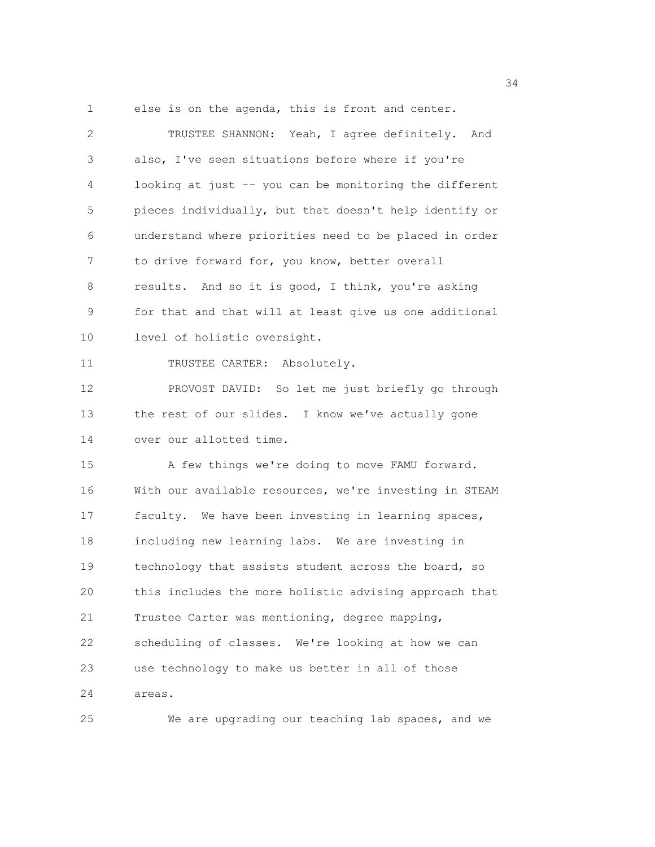34 1 else is on the agenda, this is front and center. 2 TRUSTEE SHANNON: Yeah, I agree definitely. And 3 also, I've seen situations before where if you're 4 looking at just -- you can be monitoring the different 5 pieces individually, but that doesn't help identify or 6 understand where priorities need to be placed in order 7 to drive forward for, you know, better overall 8 results. And so it is good, I think, you're asking 9 for that and that will at least give us one additional 10 level of holistic oversight. 11 TRUSTEE CARTER: Absolutely. 12 PROVOST DAVID: So let me just briefly go through 13 the rest of our slides. I know we've actually gone 14 over our allotted time. 15 A few things we're doing to move FAMU forward. 16 With our available resources, we're investing in STEAM 17 faculty. We have been investing in learning spaces, 18 including new learning labs. We are investing in 19 technology that assists student across the board, so 20 this includes the more holistic advising approach that 21 Trustee Carter was mentioning, degree mapping, 22 scheduling of classes. We're looking at how we can 23 use technology to make us better in all of those

24 areas.

25 We are upgrading our teaching lab spaces, and we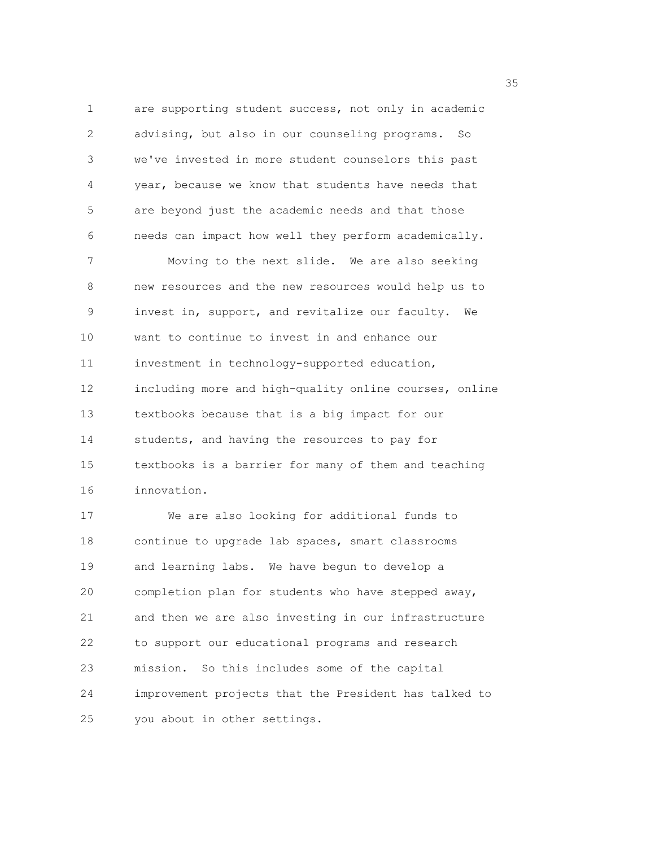1 are supporting student success, not only in academic 2 advising, but also in our counseling programs. So 3 we've invested in more student counselors this past 4 year, because we know that students have needs that 5 are beyond just the academic needs and that those 6 needs can impact how well they perform academically. 7 Moving to the next slide. We are also seeking 8 new resources and the new resources would help us to 9 invest in, support, and revitalize our faculty. We 10 want to continue to invest in and enhance our 11 investment in technology-supported education, 12 including more and high-quality online courses, online 13 textbooks because that is a big impact for our 14 students, and having the resources to pay for 15 textbooks is a barrier for many of them and teaching 16 innovation. 17 We are also looking for additional funds to 18 continue to upgrade lab spaces, smart classrooms 19 and learning labs. We have begun to develop a 20 completion plan for students who have stepped away,

21 and then we are also investing in our infrastructure 22 to support our educational programs and research 23 mission. So this includes some of the capital 24 improvement projects that the President has talked to 25 you about in other settings.

<u>35 September 2005 September 2005 September 2005 September 2005 September 2005 September 2005 September 2005 S</u>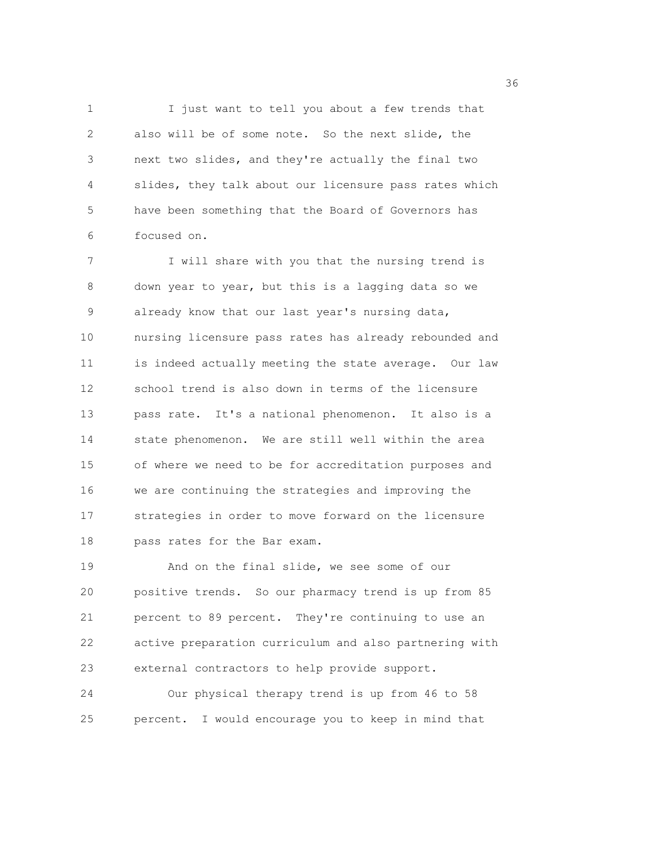1 I just want to tell you about a few trends that 2 also will be of some note. So the next slide, the 3 next two slides, and they're actually the final two 4 slides, they talk about our licensure pass rates which 5 have been something that the Board of Governors has 6 focused on.

7 I will share with you that the nursing trend is 8 down year to year, but this is a lagging data so we 9 already know that our last year's nursing data, 10 nursing licensure pass rates has already rebounded and 11 is indeed actually meeting the state average. Our law 12 school trend is also down in terms of the licensure 13 pass rate. It's a national phenomenon. It also is a 14 state phenomenon. We are still well within the area 15 of where we need to be for accreditation purposes and 16 we are continuing the strategies and improving the 17 strategies in order to move forward on the licensure 18 pass rates for the Bar exam.

19 And on the final slide, we see some of our 20 positive trends. So our pharmacy trend is up from 85 21 percent to 89 percent. They're continuing to use an 22 active preparation curriculum and also partnering with 23 external contractors to help provide support.

24 Our physical therapy trend is up from 46 to 58 25 percent. I would encourage you to keep in mind that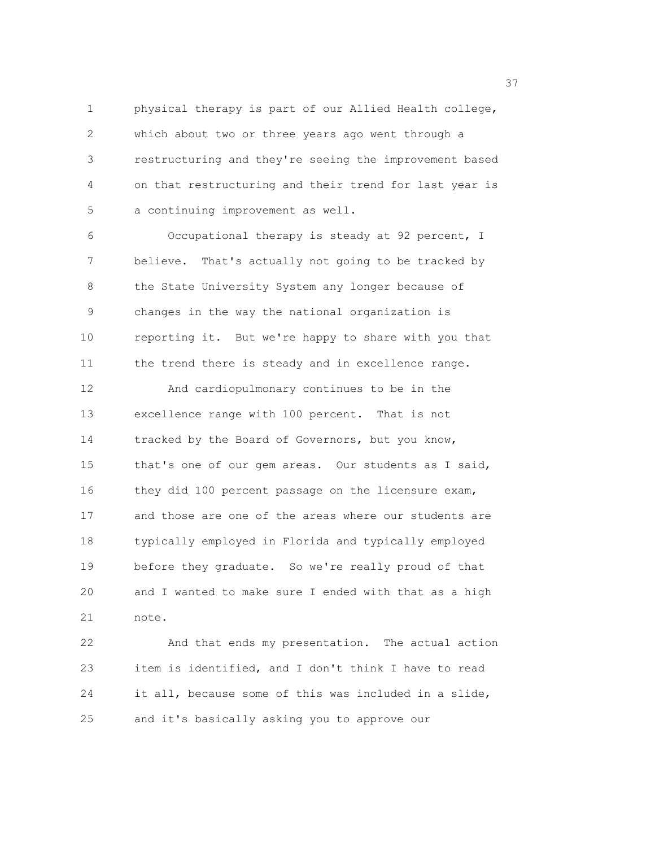1 physical therapy is part of our Allied Health college, 2 which about two or three years ago went through a 3 restructuring and they're seeing the improvement based 4 on that restructuring and their trend for last year is 5 a continuing improvement as well.

6 Occupational therapy is steady at 92 percent, I 7 believe. That's actually not going to be tracked by 8 the State University System any longer because of 9 changes in the way the national organization is 10 reporting it. But we're happy to share with you that 11 the trend there is steady and in excellence range.

12 And cardiopulmonary continues to be in the 13 excellence range with 100 percent. That is not 14 tracked by the Board of Governors, but you know, 15 that's one of our gem areas. Our students as I said, 16 they did 100 percent passage on the licensure exam, 17 and those are one of the areas where our students are 18 typically employed in Florida and typically employed 19 before they graduate. So we're really proud of that 20 and I wanted to make sure I ended with that as a high 21 note.

22 And that ends my presentation. The actual action 23 item is identified, and I don't think I have to read 24 it all, because some of this was included in a slide, 25 and it's basically asking you to approve our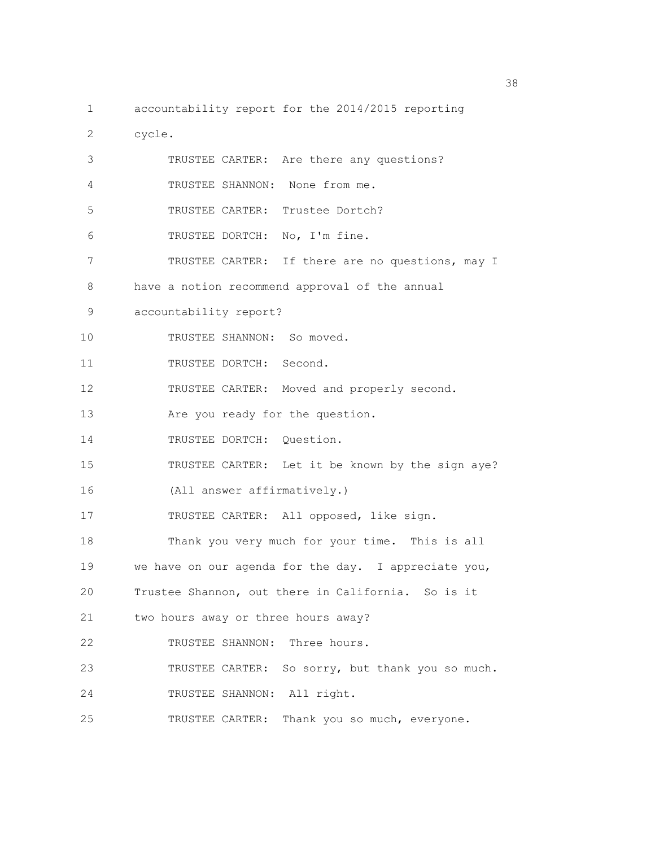- 1 accountability report for the 2014/2015 reporting
- 2 cycle.

| 3  | TRUSTEE CARTER: Are there any questions?             |
|----|------------------------------------------------------|
| 4  | TRUSTEE SHANNON: None from me.                       |
| 5  | TRUSTEE CARTER: Trustee Dortch?                      |
| 6  | TRUSTEE DORTCH: No, I'm fine.                        |
| 7  | TRUSTEE CARTER: If there are no questions, may I     |
| 8  | have a notion recommend approval of the annual       |
| 9  | accountability report?                               |
| 10 | TRUSTEE SHANNON: So moved.                           |
| 11 | TRUSTEE DORTCH: Second.                              |
| 12 | TRUSTEE CARTER: Moved and properly second.           |
| 13 | Are you ready for the question.                      |
| 14 | TRUSTEE DORTCH: Question.                            |
| 15 | TRUSTEE CARTER: Let it be known by the sign aye?     |
| 16 | (All answer affirmatively.)                          |
| 17 | TRUSTEE CARTER: All opposed, like sign.              |
| 18 | Thank you very much for your time. This is all       |
| 19 | we have on our agenda for the day. I appreciate you, |
| 20 | Trustee Shannon, out there in California. So is it   |
| 21 | two hours away or three hours away?                  |
| 22 | TRUSTEE SHANNON: Three hours.                        |
| 23 | TRUSTEE CARTER: So sorry, but thank you so much.     |
| 24 | TRUSTEE SHANNON: All right.                          |
| 25 | Thank you so much, everyone.<br>TRUSTEE CARTER:      |